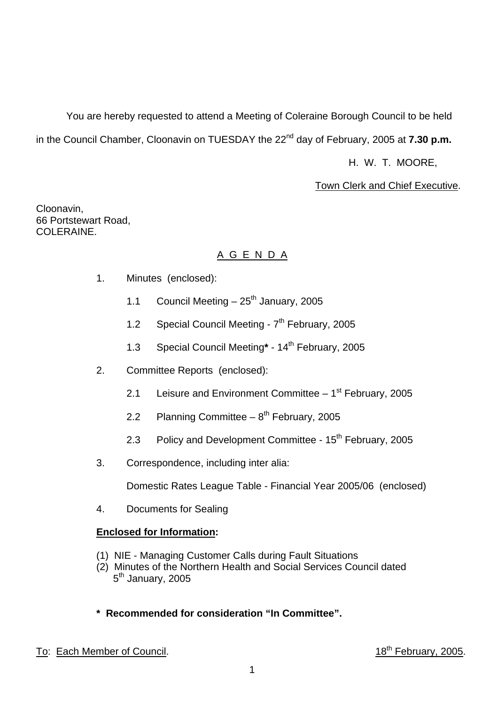You are hereby requested to attend a Meeting of Coleraine Borough Council to be held in the Council Chamber, Cloonavin on TUESDAY the 22<sup>nd</sup> day of February, 2005 at **7.30 p.m.** 

H. W. T. MOORE,

#### Town Clerk and Chief Executive.

Cloonavin, 66 Portstewart Road, COLERAINE.

#### A G E N D A

- 1. Minutes (enclosed):
	- 1.1 Council Meeting  $-25^{th}$  January, 2005
	- 1.2 Special Council Meeting 7<sup>th</sup> February, 2005
	- 1.3 Special Council Meeting**\*** 14th February, 2005
- 2. Committee Reports (enclosed):
	- 2.1 Leisure and Environment Committee  $-1<sup>st</sup>$  February, 2005
	- 2.2 Planning Committee  $-8^{th}$  February, 2005
	- 2.3 Policy and Development Committee 15<sup>th</sup> February, 2005
- 3. Correspondence, including inter alia:

Domestic Rates League Table - Financial Year 2005/06 (enclosed)

4. Documents for Sealing

#### **Enclosed for Information:**

- (1) NIE Managing Customer Calls during Fault Situations
- (2) Minutes of the Northern Health and Social Services Council dated 5<sup>th</sup> January, 2005
- **\* Recommended for consideration "In Committee".**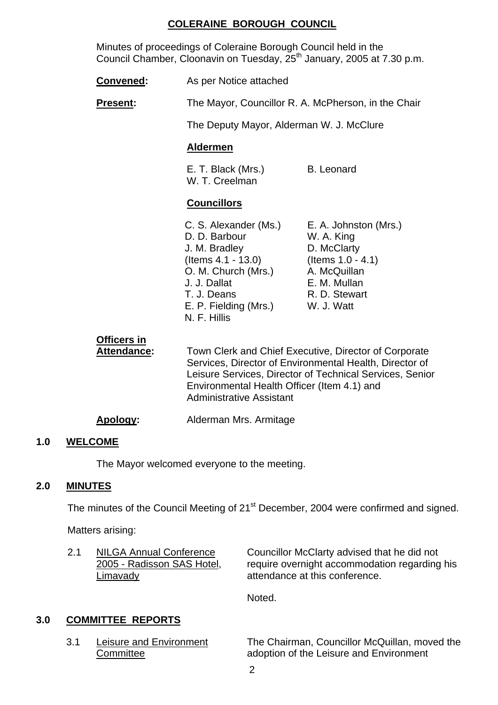#### **COLERAINE BOROUGH COUNCIL**

 Minutes of proceedings of Coleraine Borough Council held in the Council Chamber, Cloonavin on Tuesday, 25<sup>th</sup> January, 2005 at 7.30 p.m.

- **Convened:** As per Notice attached
- **Present:** The Mayor, Councillor R. A. McPherson, in the Chair

The Deputy Mayor, Alderman W. J. McClure

#### **Aldermen**

E. T. Black (Mrs.) B. Leonard W. T. Creelman

#### **Councillors**

- C. S. Alexander (Ms.) E. A. Johnston (Mrs.) D. D. Barbour W. A. King J. M. Bradley D. McClarty (Items 4.1 - 13.0) (Items 1.0 - 4.1) O. M. Church (Mrs.) A. McQuillan J. J. Dallat E. M. Mullan T. J. Deans R. D. Stewart E. P. Fielding (Mrs.) W. J. Watt N. F. Hillis
- 

# **Officers in**

 **Attendance:** Town Clerk and Chief Executive, Director of Corporate Services, Director of Environmental Health, Director of Leisure Services, Director of Technical Services, Senior Environmental Health Officer (Item 4.1) and Administrative Assistant

**Apology:** Alderman Mrs. Armitage

#### **1.0 WELCOME**

The Mayor welcomed everyone to the meeting.

#### **2.0 MINUTES**

The minutes of the Council Meeting of 21<sup>st</sup> December, 2004 were confirmed and signed.

Matters arising:

2.1 NILGA Annual Conference Councillor McClarty advised that he did not 2005 - Radisson SAS Hotel, require overnight accommodation regarding his Limavady attendance at this conference.

Noted.

#### **3.0 COMMITTEE REPORTS**

 3.1 Leisure and Environment The Chairman, Councillor McQuillan, moved the **Committee Committee Committee Committee Committee Committee Committee Committee Committee Committee Committee**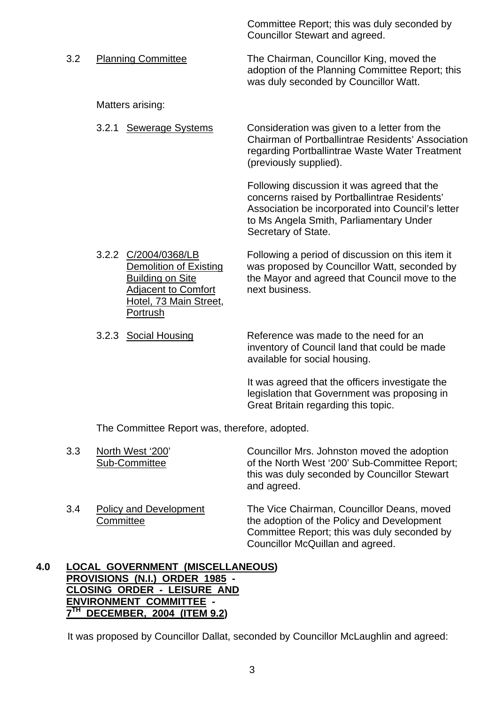Councillor Stewart and agreed. 3.2 Planning Committee The Chairman, Councillor King, moved the adoption of the Planning Committee Report; this was duly seconded by Councillor Watt.

Matters arising:

 3.2.1 Sewerage Systems Consideration was given to a letter from the Chairman of Portballintrae Residents' Association regarding Portballintrae Waste Water Treatment (previously supplied).

> Following discussion it was agreed that the concerns raised by Portballintrae Residents' Association be incorporated into Council's letter to Ms Angela Smith, Parliamentary Under Secretary of State.

Committee Report; this was duly seconded by

- 3.2.2 C/2004/0368/LB Following a period of discussion on this item it Demolition of Existing was proposed by Councillor Watt, seconded by Building on Site the Mayor and agreed that Council move to the Adjacent to Comfort next business. Hotel, 73 Main Street, Portrush
- 3.2.3 Social Housing Reference was made to the need for an inventory of Council land that could be made available for social housing.

It was agreed that the officers investigate the legislation that Government was proposing in Great Britain regarding this topic.

The Committee Report was, therefore, adopted.

- 3.3 North West '200' Councillor Mrs. Johnston moved the adoption<br>Sub-Committee of the North West '200' Sub-Committee Repor of the North West '200' Sub-Committee Report: this was duly seconded by Councillor Stewart and agreed.
- 3.4 Policy and Development The Vice Chairman, Councillor Deans, moved Committee **the adoption of the Policy and Development**  Committee Report; this was duly seconded by Councillor McQuillan and agreed.

#### **4.0 LOCAL GOVERNMENT (MISCELLANEOUS) PROVISIONS (N.I.) ORDER 1985 - CLOSING ORDER - LEISURE AND ENVIRONMENT COMMITTEE - 7TH DECEMBER, 2004 (ITEM 9.2)**

It was proposed by Councillor Dallat, seconded by Councillor McLaughlin and agreed: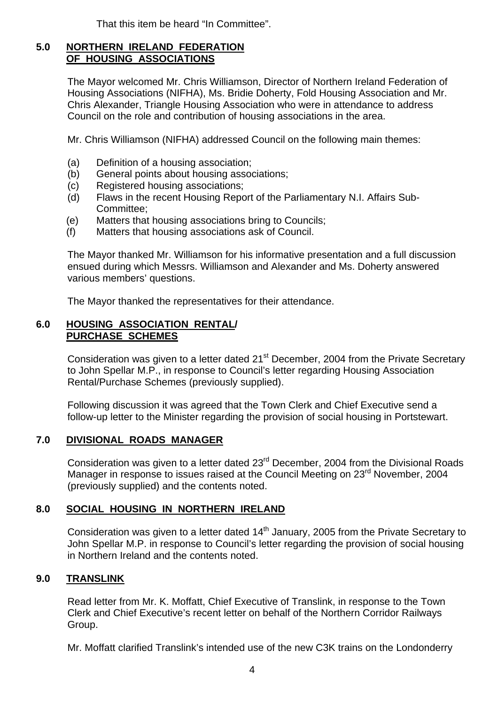That this item be heard "In Committee".

#### **5.0 NORTHERN IRELAND FEDERATION OF HOUSING ASSOCIATIONS**

The Mayor welcomed Mr. Chris Williamson, Director of Northern Ireland Federation of Housing Associations (NIFHA), Ms. Bridie Doherty, Fold Housing Association and Mr. Chris Alexander, Triangle Housing Association who were in attendance to address Council on the role and contribution of housing associations in the area.

Mr. Chris Williamson (NIFHA) addressed Council on the following main themes:

- (a) Definition of a housing association;
- (b) General points about housing associations;
- (c) Registered housing associations;
- (d) Flaws in the recent Housing Report of the Parliamentary N.I. Affairs Sub-Committee;
- (e) Matters that housing associations bring to Councils;
- (f) Matters that housing associations ask of Council.

The Mayor thanked Mr. Williamson for his informative presentation and a full discussion ensued during which Messrs. Williamson and Alexander and Ms. Doherty answered various members' questions.

The Mayor thanked the representatives for their attendance.

#### **6.0 HOUSING ASSOCIATION RENTAL/ PURCHASE SCHEMES**

Consideration was given to a letter dated 21<sup>st</sup> December, 2004 from the Private Secretary to John Spellar M.P., in response to Council's letter regarding Housing Association Rental/Purchase Schemes (previously supplied).

Following discussion it was agreed that the Town Clerk and Chief Executive send a follow-up letter to the Minister regarding the provision of social housing in Portstewart.

#### **7.0 DIVISIONAL ROADS MANAGER**

Consideration was given to a letter dated 23<sup>rd</sup> December, 2004 from the Divisional Roads Manager in response to issues raised at the Council Meeting on 23<sup>rd</sup> November, 2004 (previously supplied) and the contents noted.

#### **8.0 SOCIAL HOUSING IN NORTHERN IRELAND**

Consideration was given to a letter dated  $14<sup>th</sup>$  January, 2005 from the Private Secretary to John Spellar M.P. in response to Council's letter regarding the provision of social housing in Northern Ireland and the contents noted.

#### **9.0 TRANSLINK**

Read letter from Mr. K. Moffatt, Chief Executive of Translink, in response to the Town Clerk and Chief Executive's recent letter on behalf of the Northern Corridor Railways Group.

Mr. Moffatt clarified Translink's intended use of the new C3K trains on the Londonderry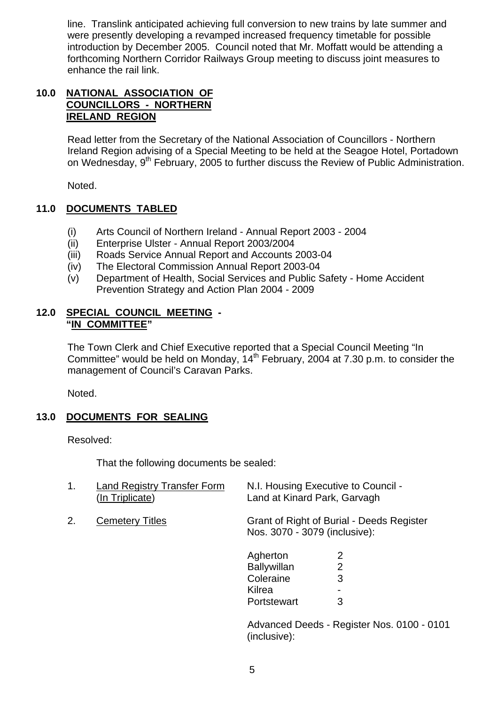line. Translink anticipated achieving full conversion to new trains by late summer and were presently developing a revamped increased frequency timetable for possible introduction by December 2005. Council noted that Mr. Moffatt would be attending a forthcoming Northern Corridor Railways Group meeting to discuss joint measures to enhance the rail link.

#### **10.0 NATIONAL ASSOCIATION OF COUNCILLORS - NORTHERN IRELAND REGION**

Read letter from the Secretary of the National Association of Councillors - Northern Ireland Region advising of a Special Meeting to be held at the Seagoe Hotel, Portadown on Wednesday, 9<sup>th</sup> February, 2005 to further discuss the Review of Public Administration.

Noted.

#### **11.0 DOCUMENTS TABLED**

- (i) Arts Council of Northern Ireland Annual Report 2003 2004
- (ii) Enterprise Ulster Annual Report 2003/2004
- (iii) Roads Service Annual Report and Accounts 2003-04
- (iv) The Electoral Commission Annual Report 2003-04
- (v) Department of Health, Social Services and Public Safety Home Accident Prevention Strategy and Action Plan 2004 - 2009

#### **12.0 SPECIAL COUNCIL MEETING - "IN COMMITTEE"**

The Town Clerk and Chief Executive reported that a Special Council Meeting "In Committee" would be held on Monday,  $14<sup>th</sup>$  February, 2004 at 7.30 p.m. to consider the management of Council's Caravan Parks.

Noted.

#### **13.0 DOCUMENTS FOR SEALING**

Resolved:

That the following documents be sealed:

| 1. | <b>Land Registry Transfer Form</b><br>(In Triplicate) | N.I. Housing Executive to Council -<br>Land at Kinard Park, Garvagh |                                           |
|----|-------------------------------------------------------|---------------------------------------------------------------------|-------------------------------------------|
| 2. | <b>Cemetery Titles</b>                                | Nos. 3070 - 3079 (inclusive):                                       | Grant of Right of Burial - Deeds Register |
|    |                                                       | Agherton                                                            | 2                                         |
|    |                                                       | <b>Ballywillan</b>                                                  | 2                                         |
|    |                                                       | Coleraine                                                           | 3                                         |
|    |                                                       | Kilrea                                                              |                                           |
|    |                                                       | Portstewart                                                         | 3                                         |
|    |                                                       |                                                                     | Advanced Deeds Degister Nes 0100<br>n.    |

Advanced Deeds - Register Nos. 0100 - 0101 (inclusive):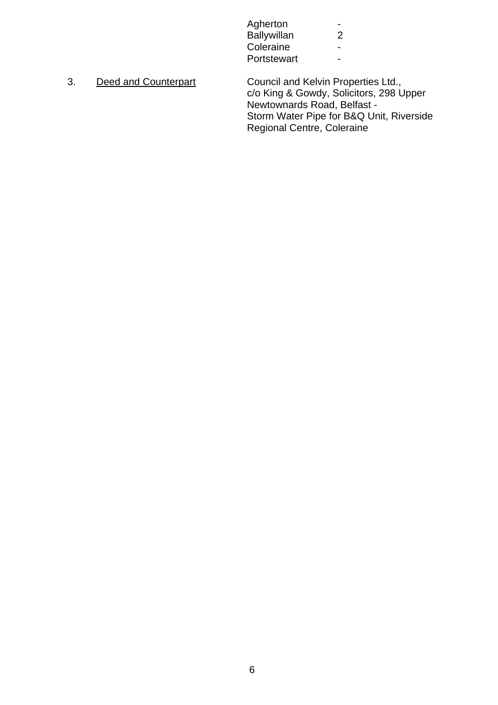| Agherton           | $\overline{\phantom{0}}$ |
|--------------------|--------------------------|
| <b>Ballywillan</b> | າ                        |
| Coleraine          | $\overline{\phantom{0}}$ |
| Portstewart        | $\overline{\phantom{0}}$ |
|                    |                          |

3. Deed and Counterpart Council and Kelvin Properties Ltd., c/o King & Gowdy, Solicitors, 298 Upper Newtownards Road, Belfast - Storm Water Pipe for B&Q Unit, Riverside Regional Centre, Coleraine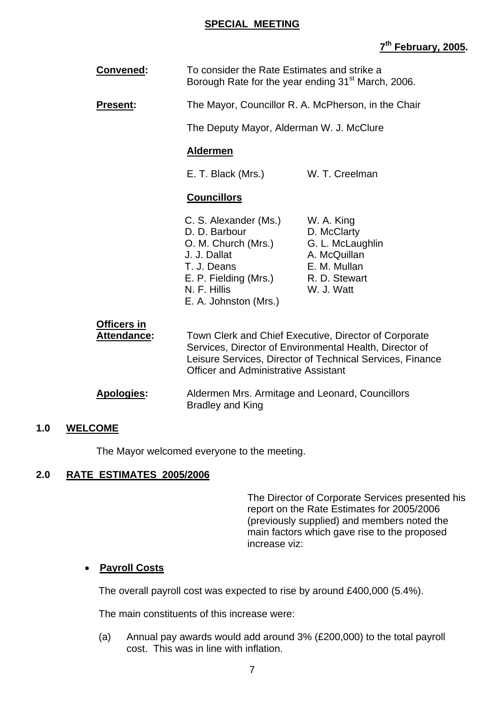#### **SPECIAL MEETING**

# **7th February, 2005.**

| Convened:                                | To consider the Rate Estimates and strike a<br>Borough Rate for the year ending 31 <sup>st</sup> March, 2006.                                                                                                                |                                                                                                              |
|------------------------------------------|------------------------------------------------------------------------------------------------------------------------------------------------------------------------------------------------------------------------------|--------------------------------------------------------------------------------------------------------------|
| <b>Present:</b>                          | The Mayor, Councillor R. A. McPherson, in the Chair                                                                                                                                                                          |                                                                                                              |
|                                          | The Deputy Mayor, Alderman W. J. McClure                                                                                                                                                                                     |                                                                                                              |
|                                          | <b>Aldermen</b>                                                                                                                                                                                                              |                                                                                                              |
|                                          | E. T. Black (Mrs.)                                                                                                                                                                                                           | W. T. Creelman                                                                                               |
|                                          | <b>Councillors</b>                                                                                                                                                                                                           |                                                                                                              |
|                                          | C. S. Alexander (Ms.)<br>D. D. Barbour<br>O. M. Church (Mrs.)<br>J. J. Dallat<br>T. J. Deans<br>E. P. Fielding (Mrs.)<br>N. F. Hillis<br>E. A. Johnston (Mrs.)                                                               | W. A. King<br>D. McClarty<br>G. L. McLaughlin<br>A. McQuillan<br>E. M. Mullan<br>R. D. Stewart<br>W. J. Watt |
| <b>Officers in</b><br><b>Attendance:</b> | Town Clerk and Chief Executive, Director of Corporate<br>Services, Director of Environmental Health, Director of<br>Leisure Services, Director of Technical Services, Finance<br><b>Officer and Administrative Assistant</b> |                                                                                                              |
| <b>Apologies:</b>                        | Aldermen Mrs. Armitage and Leonard, Councillors<br><b>Bradley and King</b>                                                                                                                                                   |                                                                                                              |

#### **1.0 WELCOME**

The Mayor welcomed everyone to the meeting.

#### **2.0 RATE ESTIMATES 2005/2006**

The Director of Corporate Services presented his report on the Rate Estimates for 2005/2006 (previously supplied) and members noted the main factors which gave rise to the proposed increase viz:

#### • **Payroll Costs**

The overall payroll cost was expected to rise by around £400,000 (5.4%).

The main constituents of this increase were:

(a) Annual pay awards would add around 3% (£200,000) to the total payroll cost. This was in line with inflation.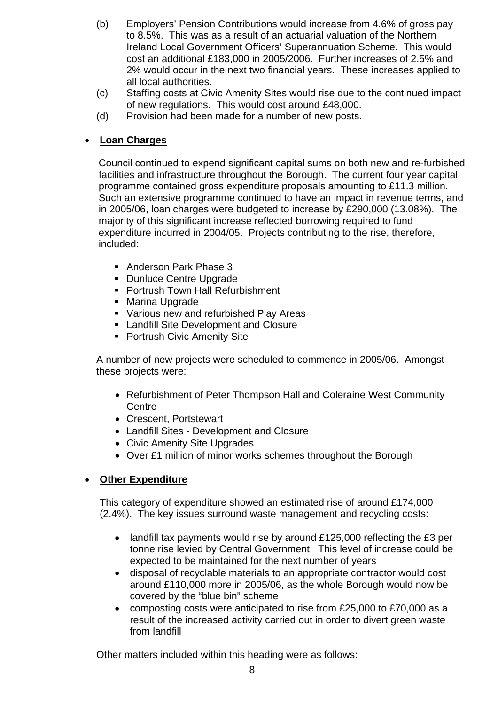- (b) Employers' Pension Contributions would increase from 4.6% of gross pay to 8.5%. This was as a result of an actuarial valuation of the Northern Ireland Local Government Officers' Superannuation Scheme. This would cost an additional £183,000 in 2005/2006. Further increases of 2.5% and 2% would occur in the next two financial years. These increases applied to all local authorities.
- (c) Staffing costs at Civic Amenity Sites would rise due to the continued impact of new regulations. This would cost around £48,000.
- (d) Provision had been made for a number of new posts.

#### • **Loan Charges**

Council continued to expend significant capital sums on both new and re-furbished facilities and infrastructure throughout the Borough. The current four year capital programme contained gross expenditure proposals amounting to £11.3 million. Such an extensive programme continued to have an impact in revenue terms, and in 2005/06, loan charges were budgeted to increase by £290,000 (13.08%). The majority of this significant increase reflected borrowing required to fund expenditure incurred in 2004/05. Projects contributing to the rise, therefore, included:

- Anderson Park Phase 3
- Dunluce Centre Upgrade
- **Portrush Town Hall Refurbishment**
- **Marina Upgrade**
- **Various new and refurbished Play Areas**
- **Example 1** Landfill Site Development and Closure
- **Portrush Civic Amenity Site**

A number of new projects were scheduled to commence in 2005/06. Amongst these projects were:

- Refurbishment of Peter Thompson Hall and Coleraine West Community **Centre**
- Crescent, Portstewart
- Landfill Sites Development and Closure
- Civic Amenity Site Upgrades
- Over £1 million of minor works schemes throughout the Borough

#### • **Other Expenditure**

This category of expenditure showed an estimated rise of around £174,000 (2.4%). The key issues surround waste management and recycling costs:

- landfill tax payments would rise by around £125,000 reflecting the £3 per tonne rise levied by Central Government. This level of increase could be expected to be maintained for the next number of years
- disposal of recyclable materials to an appropriate contractor would cost around £110,000 more in 2005/06, as the whole Borough would now be covered by the "blue bin" scheme
- composting costs were anticipated to rise from £25,000 to £70,000 as a result of the increased activity carried out in order to divert green waste from landfill

Other matters included within this heading were as follows: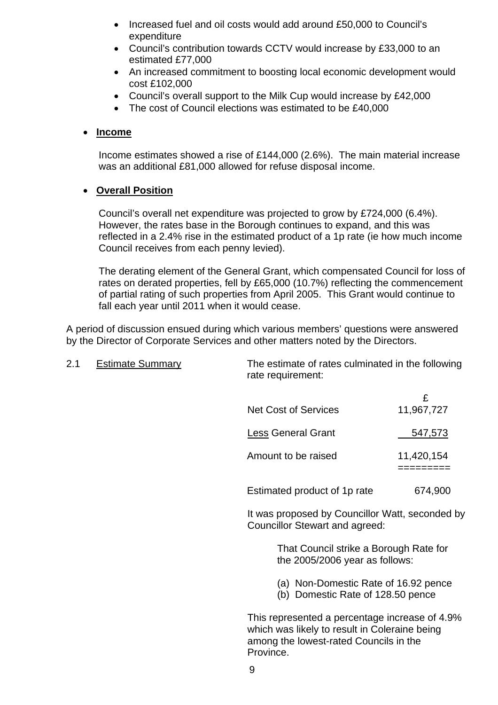- Increased fuel and oil costs would add around £50,000 to Council's expenditure
- Council's contribution towards CCTV would increase by £33,000 to an estimated £77,000
- An increased commitment to boosting local economic development would cost £102,000
- Council's overall support to the Milk Cup would increase by £42,000
- The cost of Council elections was estimated to be £40,000

#### • **Income**

Income estimates showed a rise of £144,000 (2.6%). The main material increase was an additional £81,000 allowed for refuse disposal income.

#### • **Overall Position**

Council's overall net expenditure was projected to grow by £724,000 (6.4%). However, the rates base in the Borough continues to expand, and this was reflected in a 2.4% rise in the estimated product of a 1p rate (ie how much income Council receives from each penny levied).

The derating element of the General Grant, which compensated Council for loss of rates on derated properties, fell by £65,000 (10.7%) reflecting the commencement of partial rating of such properties from April 2005. This Grant would continue to fall each year until 2011 when it would cease.

 A period of discussion ensued during which various members' questions were answered by the Director of Corporate Services and other matters noted by the Directors.

| 2.1 | <b>Estimate Summary</b> | The estimate of rates culminated in the following<br>rate requirement:                          |                 |
|-----|-------------------------|-------------------------------------------------------------------------------------------------|-----------------|
|     |                         | <b>Net Cost of Services</b>                                                                     | £<br>11,967,727 |
|     |                         | <b>Less General Grant</b>                                                                       | 547,573         |
|     |                         | Amount to be raised                                                                             | 11,420,154      |
|     |                         | Estimated product of 1p rate                                                                    | 674,900         |
|     |                         | It was proposed by Councillor Watt, seconded by<br>Councillor Stewart and agreed:               |                 |
|     |                         | That Council strike a Borough Rate for<br>the 2005/2006 year as follows:                        |                 |
|     |                         | (a) Non-Domestic Rate of 16.92 pence<br>(b) Domestic Rate of 128.50 pence                       |                 |
|     |                         | This represented a percentage increase of 4.9%<br>which was likely to result in Coleraine heing |                 |

which was likely to result in Coleraine being among the lowest-rated Councils in the Province.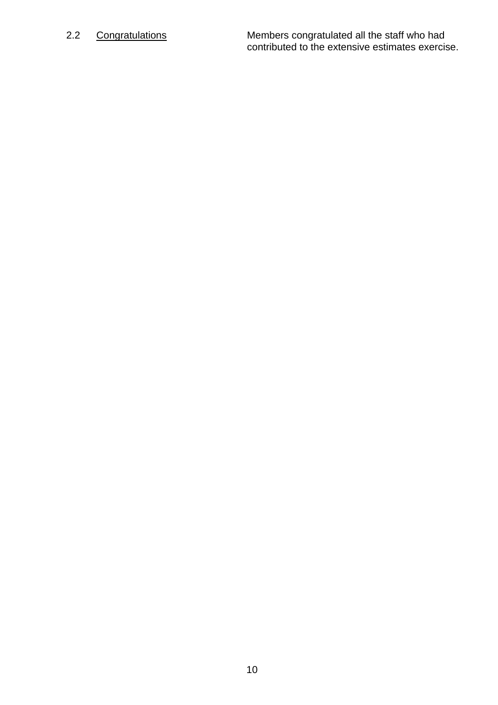2.2 Congratulations Members congratulated all the staff who had contributed to the extensive estimates exercise.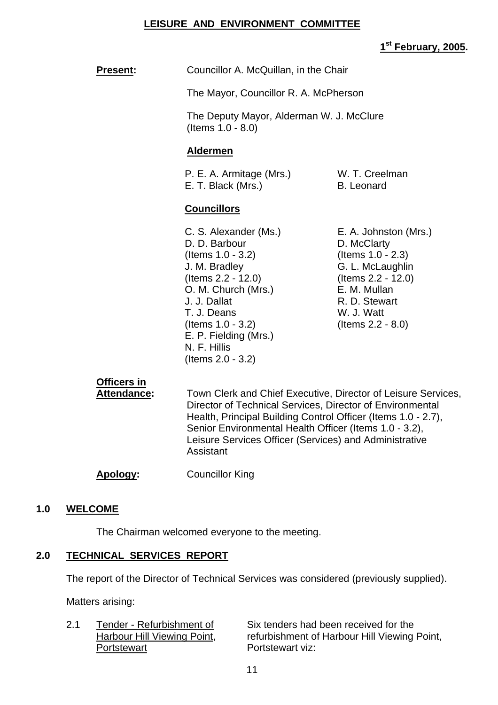#### **LEISURE AND ENVIRONMENT COMMITTEE**

#### **1st February, 2005.**

**Present:** Councillor A. McQuillan, in the Chair

The Mayor, Councillor R. A. McPherson

 The Deputy Mayor, Alderman W. J. McClure (Items 1.0 - 8.0)

#### **Aldermen**

P. E. A. Armitage (Mrs.) W. T. Creelman E. T. Black (Mrs.) B. Leonard

#### **Councillors**

C. S. Alexander (Ms.) E. A. Johnston (Mrs.) D. D. Barbour D. McClarty (Items 1.0 - 3.2) (Items 1.0 - 2.3) J. M. Bradley G. L. McLaughlin (Items 2.2 - 12.0) (Items 2.2 - 12.0) O. M. Church (Mrs.) E. M. Mullan J. J. Dallat R. D. Stewart T. J. Deans W. J. Watt (Items 1.0 - 3.2) (Items 2.2 - 8.0) E. P. Fielding (Mrs.) N. F. Hillis (Items 2.0 - 3.2)

# **Officers in**

Attendance: Town Clerk and Chief Executive, Director of Leisure Services, Director of Technical Services, Director of Environmental Health, Principal Building Control Officer (Items 1.0 - 2.7), Senior Environmental Health Officer (Items 1.0 - 3.2), Leisure Services Officer (Services) and Administrative Assistant

**Apology:** Councillor King

#### **1.0 WELCOME**

The Chairman welcomed everyone to the meeting.

#### **2.0 TECHNICAL SERVICES REPORT**

The report of the Director of Technical Services was considered (previously supplied).

Matters arising:

2.1 Tender - Refurbishment of Six tenders had been received for the Harbour Hill Viewing Point, refurbishment of Harbour Hill Viewing Point,<br>Portstewart viz: Portstewart viz: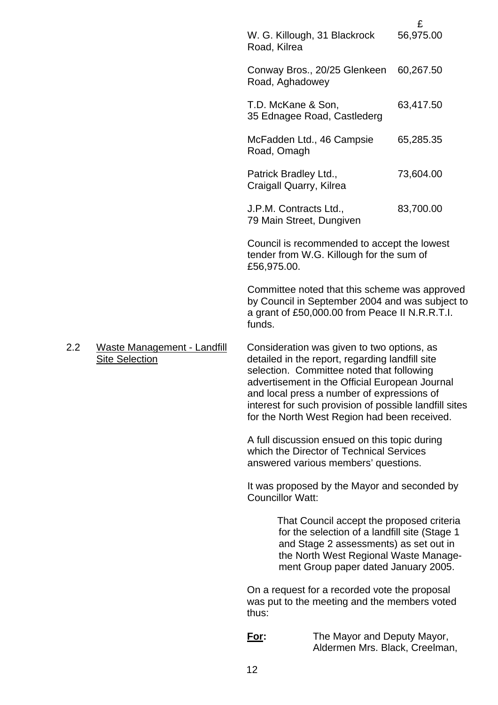|     |                                                      |                         |                                                                                                                                                                                                                                                                                                                                                      | £         |
|-----|------------------------------------------------------|-------------------------|------------------------------------------------------------------------------------------------------------------------------------------------------------------------------------------------------------------------------------------------------------------------------------------------------------------------------------------------------|-----------|
|     |                                                      | Road, Kilrea            | W. G. Killough, 31 Blackrock                                                                                                                                                                                                                                                                                                                         | 56,975.00 |
|     |                                                      | Road, Aghadowey         | Conway Bros., 20/25 Glenkeen                                                                                                                                                                                                                                                                                                                         | 60,267.50 |
|     |                                                      | T.D. McKane & Son,      | 35 Ednagee Road, Castlederg                                                                                                                                                                                                                                                                                                                          | 63,417.50 |
|     |                                                      | Road, Omagh             | McFadden Ltd., 46 Campsie                                                                                                                                                                                                                                                                                                                            | 65,285.35 |
|     |                                                      | Patrick Bradley Ltd.,   | Craigall Quarry, Kilrea                                                                                                                                                                                                                                                                                                                              | 73,604.00 |
|     |                                                      |                         | J.P.M. Contracts Ltd.,<br>79 Main Street, Dungiven                                                                                                                                                                                                                                                                                                   | 83,700.00 |
|     |                                                      | £56,975.00.             | Council is recommended to accept the lowest<br>tender from W.G. Killough for the sum of                                                                                                                                                                                                                                                              |           |
|     |                                                      | funds.                  | Committee noted that this scheme was approved<br>by Council in September 2004 and was subject to<br>a grant of £50,000.00 from Peace II N.R.R.T.I.                                                                                                                                                                                                   |           |
| 2.2 | Waste Management - Landfill<br><b>Site Selection</b> |                         | Consideration was given to two options, as<br>detailed in the report, regarding landfill site<br>selection. Committee noted that following<br>advertisement in the Official European Journal<br>and local press a number of expressions of<br>interest for such provision of possible landfill sites<br>for the North West Region had been received. |           |
|     |                                                      |                         | A full discussion ensued on this topic during<br>which the Director of Technical Services<br>answered various members' questions.                                                                                                                                                                                                                    |           |
|     |                                                      | <b>Councillor Watt:</b> | It was proposed by the Mayor and seconded by                                                                                                                                                                                                                                                                                                         |           |
|     |                                                      |                         | That Council accept the proposed criteria<br>for the selection of a landfill site (Stage 1)<br>and Stage 2 assessments) as set out in<br>the North West Regional Waste Manage-<br>ment Group paper dated January 2005.                                                                                                                               |           |
|     |                                                      | thus:                   | On a request for a recorded vote the proposal<br>was put to the meeting and the members voted                                                                                                                                                                                                                                                        |           |
|     |                                                      | <u>For:</u>             | The Mayor and Deputy Mayor,<br>Aldermen Mrs. Black, Creelman,                                                                                                                                                                                                                                                                                        |           |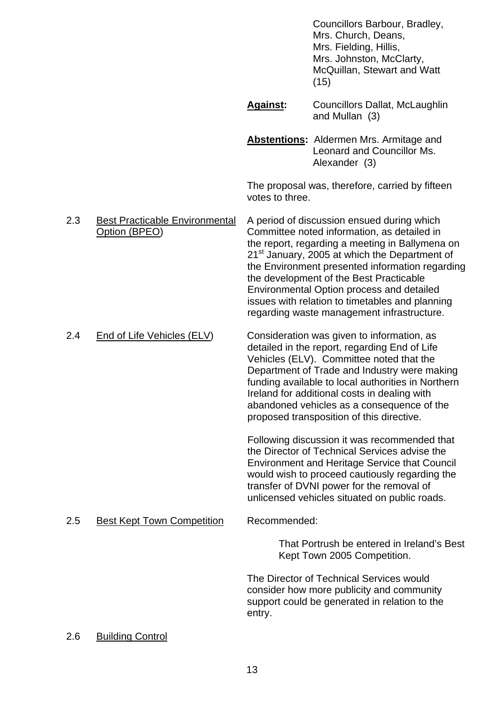Councillors Barbour, Bradley, Mrs. Church, Deans, Mrs. Fielding, Hillis, Mrs. Johnston, McClarty, McQuillan, Stewart and Watt (15)

 **Against:** Councillors Dallat, McLaughlin and Mullan (3)

 **Abstentions:** Aldermen Mrs. Armitage and Leonard and Councillor Ms. Alexander (3)

 The proposal was, therefore, carried by fifteen votes to three.

 2.3 Best Practicable Environmental A period of discussion ensued during which Option (BPEO) Committee noted information, as detailed in the report, regarding a meeting in Ballymena on 21<sup>st</sup> January, 2005 at which the Department of the Environment presented information regarding the development of the Best Practicable Environmental Option process and detailed issues with relation to timetables and planning regarding waste management infrastructure.

 2.4 End of Life Vehicles (ELV) Consideration was given to information, as detailed in the report, regarding End of Life Vehicles (ELV). Committee noted that the Department of Trade and Industry were making funding available to local authorities in Northern Ireland for additional costs in dealing with abandoned vehicles as a consequence of the

> Following discussion it was recommended that the Director of Technical Services advise the Environment and Heritage Service that Council would wish to proceed cautiously regarding the transfer of DVNI power for the removal of unlicensed vehicles situated on public roads.

proposed transposition of this directive.

# 2.5 Best Kept Town Competition Recommended:

That Portrush be entered in Ireland's Best Kept Town 2005 Competition.

 The Director of Technical Services would consider how more publicity and community support could be generated in relation to the entry.

#### 2.6 Building Control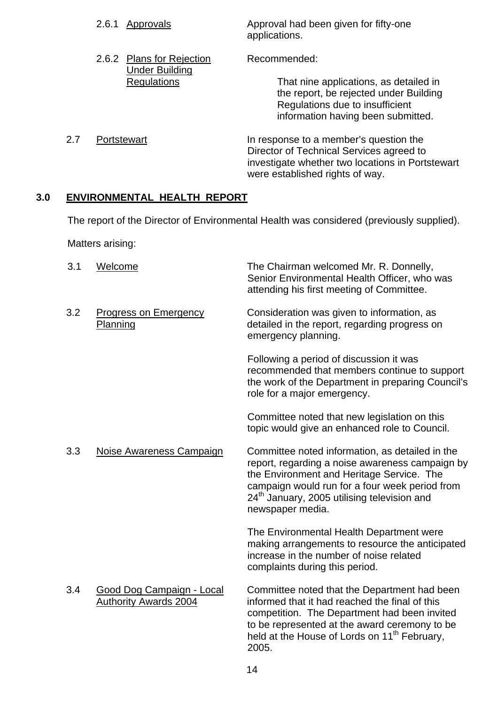| Approvals                 | Approval had been given for fifty-one                                                                                                                                     |
|---------------------------|---------------------------------------------------------------------------------------------------------------------------------------------------------------------------|
| 2.6.1                     | applications.                                                                                                                                                             |
| 2.6.2 Plans for Rejection | Recommended:                                                                                                                                                              |
| <b>Under Building</b>     | That nine applications, as detailed in                                                                                                                                    |
| <b>Regulations</b>        | the report, be rejected under Building                                                                                                                                    |
|                           | Regulations due to insufficient<br>information having been submitted.                                                                                                     |
| 2.7<br>Portstewart        | In response to a member's question the<br>Director of Technical Services agreed to<br>investigate whether two locations in Portstewart<br>were established rights of way. |

# **3.0 ENVIRONMENTAL HEALTH REPORT**

The report of the Director of Environmental Health was considered (previously supplied).

Matters arising:

| 3.1 | Welcome                                                   | The Chairman welcomed Mr. R. Donnelly,<br>Senior Environmental Health Officer, who was<br>attending his first meeting of Committee.                                                                                                                                              |
|-----|-----------------------------------------------------------|----------------------------------------------------------------------------------------------------------------------------------------------------------------------------------------------------------------------------------------------------------------------------------|
| 3.2 | <b>Progress on Emergency</b><br>Planning                  | Consideration was given to information, as<br>detailed in the report, regarding progress on<br>emergency planning.                                                                                                                                                               |
|     |                                                           | Following a period of discussion it was<br>recommended that members continue to support<br>the work of the Department in preparing Council's<br>role for a major emergency.                                                                                                      |
|     |                                                           | Committee noted that new legislation on this<br>topic would give an enhanced role to Council.                                                                                                                                                                                    |
| 3.3 | Noise Awareness Campaign                                  | Committee noted information, as detailed in the<br>report, regarding a noise awareness campaign by<br>the Environment and Heritage Service. The<br>campaign would run for a four week period from<br>24 <sup>th</sup> January, 2005 utilising television and<br>newspaper media. |
|     |                                                           | The Environmental Health Department were<br>making arrangements to resource the anticipated<br>increase in the number of noise related<br>complaints during this period.                                                                                                         |
| 3.4 | Good Dog Campaign - Local<br><b>Authority Awards 2004</b> | Committee noted that the Department had been<br>informed that it had reached the final of this<br>competition. The Department had been invited<br>to be represented at the award ceremony to be<br>held at the House of Lords on 11 <sup>th</sup> February,<br>2005.             |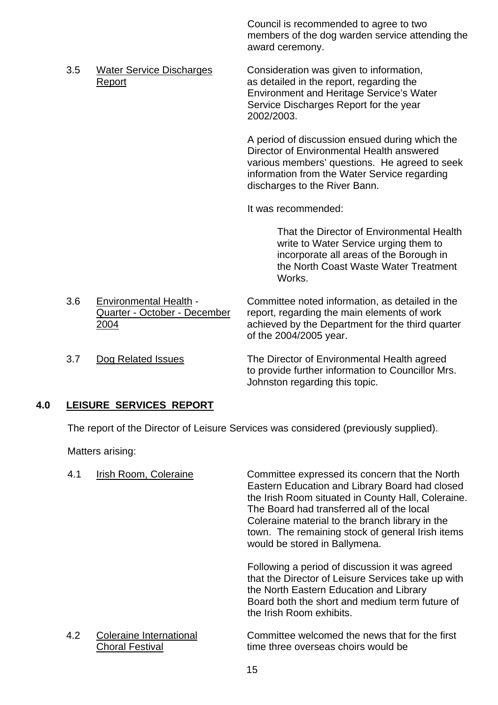Council is recommended to agree to two members of the dog warden service attending the award ceremony.

 3.5 Water Service Discharges Consideration was given to information, Report **Report as detailed in the report, regarding the** Environment and Heritage Service's Water Service Discharges Report for the year 2002/2003.

> A period of discussion ensued during which the Director of Environmental Health answered various members' questions. He agreed to seek information from the Water Service regarding discharges to the River Bann.

It was recommended:

That the Director of Environmental Health write to Water Service urging them to incorporate all areas of the Borough in the North Coast Waste Water Treatment Works.

 3.6 Environmental Health - Committee noted information, as detailed in the Quarter - October - December report, regarding the main elements of work 2004 achieved by the Department for the third quarter of the 2004/2005 year. 3.7 Dog Related Issues The Director of Environmental Health agreed

 to provide further information to Councillor Mrs. Johnston regarding this topic.

#### **4.0 LEISURE SERVICES REPORT**

The report of the Director of Leisure Services was considered (previously supplied).

Matters arising:

| 4.1 | Irish Room, Coleraine                             | Committee expressed its concern that the North<br>Eastern Education and Library Board had closed<br>the Irish Room situated in County Hall, Coleraine.<br>The Board had transferred all of the local<br>Coleraine material to the branch library in the<br>town. The remaining stock of general Irish items<br>would be stored in Ballymena. |
|-----|---------------------------------------------------|----------------------------------------------------------------------------------------------------------------------------------------------------------------------------------------------------------------------------------------------------------------------------------------------------------------------------------------------|
|     |                                                   | Following a period of discussion it was agreed<br>that the Director of Leisure Services take up with<br>the North Eastern Education and Library<br>Board both the short and medium term future of<br>the Irish Room exhibits.                                                                                                                |
| 4.2 | Coleraine International<br><b>Choral Festival</b> | Committee welcomed the news that for the first<br>time three overseas choirs would be                                                                                                                                                                                                                                                        |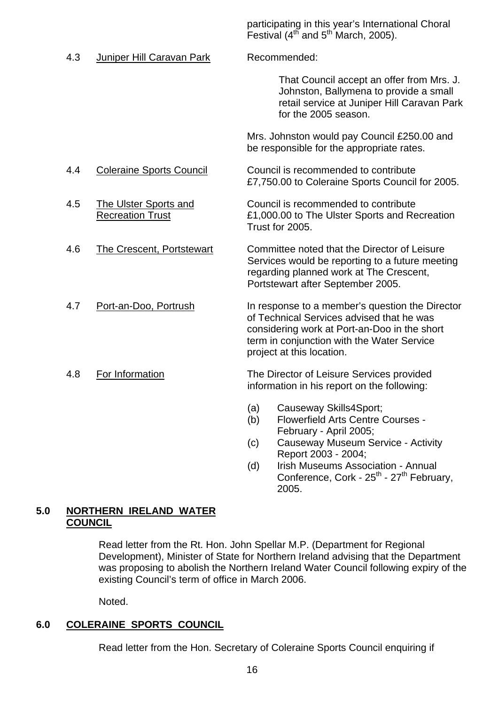participating in this year's International Choral Festival  $(4^{th}$  and  $5^{th}$  March, 2005).

4.3 Juniper Hill Caravan Park Recommended:

That Council accept an offer from Mrs. J. Johnston, Ballymena to provide a small retail service at Juniper Hill Caravan Park for the 2005 season.

 Mrs. Johnston would pay Council £250.00 and be responsible for the appropriate rates.

- 4.4 Coleraine Sports Council Council is recommended to contribute £7,750.00 to Coleraine Sports Council for 2005.
- 4.5 The Ulster Sports and Council is recommended to contribute Recreation Trust **E1,000.00** to The Ulster Sports and Recreation Trust for 2005.
- 4.6 The Crescent, Portstewart Committee noted that the Director of Leisure Services would be reporting to a future meeting regarding planned work at The Crescent, Portstewart after September 2005.
- 4.7 Port-an-Doo, Portrush In response to a member's question the Director of Technical Services advised that he was considering work at Port-an-Doo in the short term in conjunction with the Water Service project at this location.
- 4.8 For Information The Director of Leisure Services provided information in his report on the following:
	- (a) Causeway Skills4Sport;
	- (b) Flowerfield Arts Centre Courses February - April 2005;
	- (c) Causeway Museum Service Activity Report 2003 - 2004;
	- (d) Irish Museums Association Annual Conference, Cork -  $25^{th}$  -  $27^{th}$  February, 2005.

#### **5.0 NORTHERN IRELAND WATER COUNCIL**

Read letter from the Rt. Hon. John Spellar M.P. (Department for Regional Development), Minister of State for Northern Ireland advising that the Department was proposing to abolish the Northern Ireland Water Council following expiry of the existing Council's term of office in March 2006.

Noted.

#### **6.0 COLERAINE SPORTS COUNCIL**

Read letter from the Hon. Secretary of Coleraine Sports Council enquiring if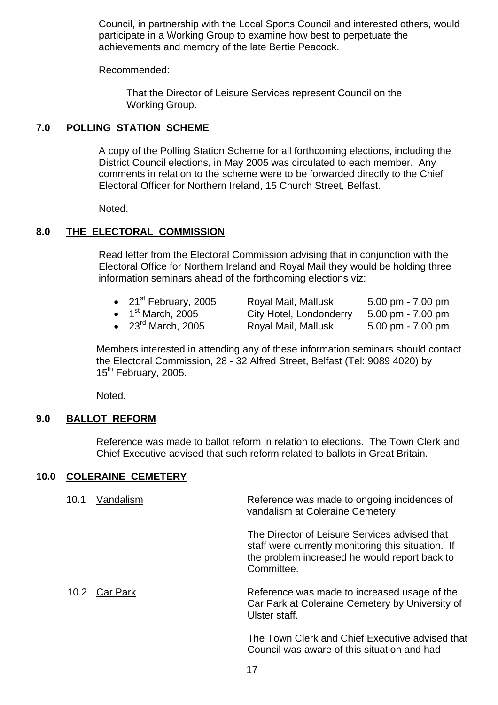Council, in partnership with the Local Sports Council and interested others, would participate in a Working Group to examine how best to perpetuate the achievements and memory of the late Bertie Peacock.

Recommended:

 That the Director of Leisure Services represent Council on the Working Group.

#### **7.0 POLLING STATION SCHEME**

A copy of the Polling Station Scheme for all forthcoming elections, including the District Council elections, in May 2005 was circulated to each member. Any comments in relation to the scheme were to be forwarded directly to the Chief Electoral Officer for Northern Ireland, 15 Church Street, Belfast.

Noted.

#### **8.0 THE ELECTORAL COMMISSION**

Read letter from the Electoral Commission advising that in conjunction with the Electoral Office for Northern Ireland and Royal Mail they would be holding three information seminars ahead of the forthcoming elections viz:

- 21<sup>st</sup> February, 2005 Royal Mail, Mallusk 5.00 pm 7.00 pm
- 

• 1<sup>st</sup> March, 2005 City Hotel, Londonderry 5.00 pm - 7.00 pm

• 23rd March, 2005 Royal Mail, Mallusk 5.00 pm - 7.00 pm

Members interested in attending any of these information seminars should contact the Electoral Commission, 28 - 32 Alfred Street, Belfast (Tel: 9089 4020) by 15<sup>th</sup> February, 2005.

Noted.

#### **9.0 BALLOT REFORM**

 Reference was made to ballot reform in relation to elections. The Town Clerk and Chief Executive advised that such reform related to ballots in Great Britain.

#### **10.0 COLERAINE CEMETERY**

| 10.1 | Vandalism     | Reference was made to ongoing incidences of<br>vandalism at Coleraine Cemetery.                                                                                    |
|------|---------------|--------------------------------------------------------------------------------------------------------------------------------------------------------------------|
|      |               | The Director of Leisure Services advised that<br>staff were currently monitoring this situation. If<br>the problem increased he would report back to<br>Committee. |
|      | 10.2 Car Park | Reference was made to increased usage of the<br>Car Park at Coleraine Cemetery by University of<br>Ulster staff.                                                   |
|      |               | The Town Clerk and Chief Executive advised the                                                                                                                     |

The Town Clerk and Chief Executive advised that Council was aware of this situation and had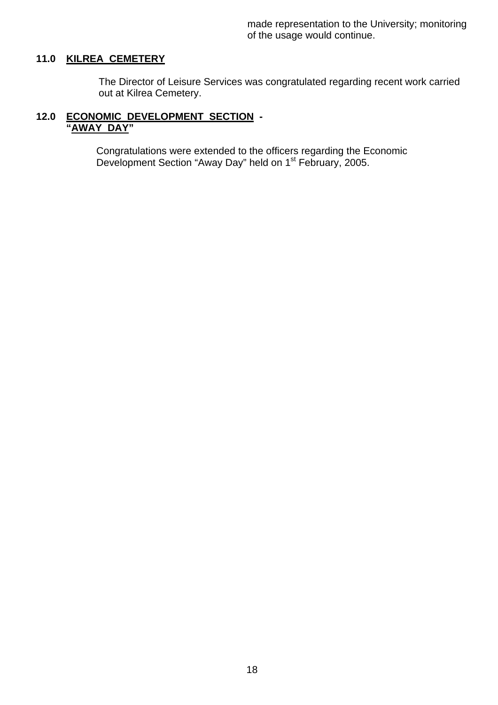made representation to the University; monitoring of the usage would continue.

#### **11.0 KILREA CEMETERY**

The Director of Leisure Services was congratulated regarding recent work carried out at Kilrea Cemetery.

#### **12.0 ECONOMIC DEVELOPMENT SECTION - "AWAY DAY"**

 Congratulations were extended to the officers regarding the Economic Development Section "Away Day" held on 1<sup>st</sup> February, 2005.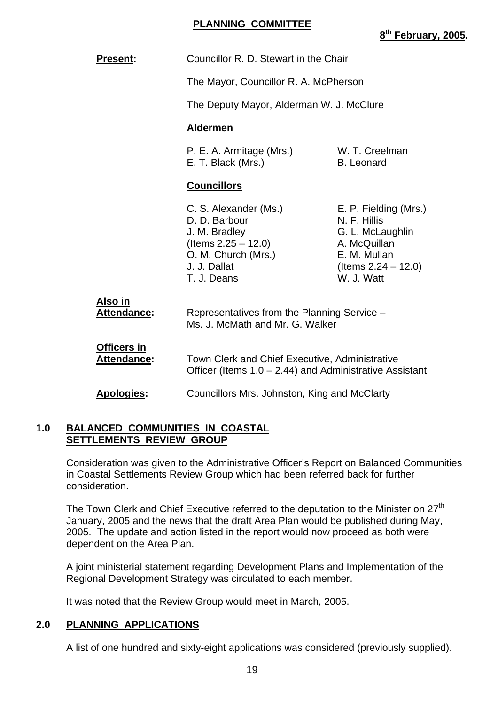#### **PLANNING COMMITTEE**

| <b>Present:</b>                          | Councillor R. D. Stewart in the Chair                                                                                                     |                                                                                                                                   |
|------------------------------------------|-------------------------------------------------------------------------------------------------------------------------------------------|-----------------------------------------------------------------------------------------------------------------------------------|
|                                          | The Mayor, Councillor R. A. McPherson                                                                                                     |                                                                                                                                   |
|                                          | The Deputy Mayor, Alderman W. J. McClure                                                                                                  |                                                                                                                                   |
|                                          | <b>Aldermen</b>                                                                                                                           |                                                                                                                                   |
|                                          | P. E. A. Armitage (Mrs.)<br>E. T. Black (Mrs.)                                                                                            | W. T. Creelman<br><b>B.</b> Leonard                                                                                               |
|                                          | <b>Councillors</b>                                                                                                                        |                                                                                                                                   |
|                                          | C. S. Alexander (Ms.)<br>D. D. Barbour<br>J. M. Bradley<br>$($ ltems 2.25 $-$ 12.0)<br>O. M. Church (Mrs.)<br>J. J. Dallat<br>T. J. Deans | E. P. Fielding (Mrs.)<br>N. F. Hillis<br>G. L. McLaughlin<br>A. McQuillan<br>E. M. Mullan<br>(Items $2.24 - 12.0$ )<br>W. J. Watt |
| Also in<br><b>Attendance:</b>            | Representatives from the Planning Service -<br>Ms. J. McMath and Mr. G. Walker                                                            |                                                                                                                                   |
| <b>Officers in</b><br><b>Attendance:</b> | Town Clerk and Chief Executive, Administrative<br>Officer (Items $1.0 - 2.44$ ) and Administrative Assistant                              |                                                                                                                                   |
| Apologies:                               | Councillors Mrs. Johnston, King and McClarty                                                                                              |                                                                                                                                   |

#### **1.0 BALANCED COMMUNITIES IN COASTAL SETTLEMENTS REVIEW GROUP**

 Consideration was given to the Administrative Officer's Report on Balanced Communities in Coastal Settlements Review Group which had been referred back for further consideration.

The Town Clerk and Chief Executive referred to the deputation to the Minister on 27<sup>th</sup> January, 2005 and the news that the draft Area Plan would be published during May, 2005. The update and action listed in the report would now proceed as both were dependent on the Area Plan.

 A joint ministerial statement regarding Development Plans and Implementation of the Regional Development Strategy was circulated to each member.

It was noted that the Review Group would meet in March, 2005.

#### **2.0 PLANNING APPLICATIONS**

A list of one hundred and sixty-eight applications was considered (previously supplied).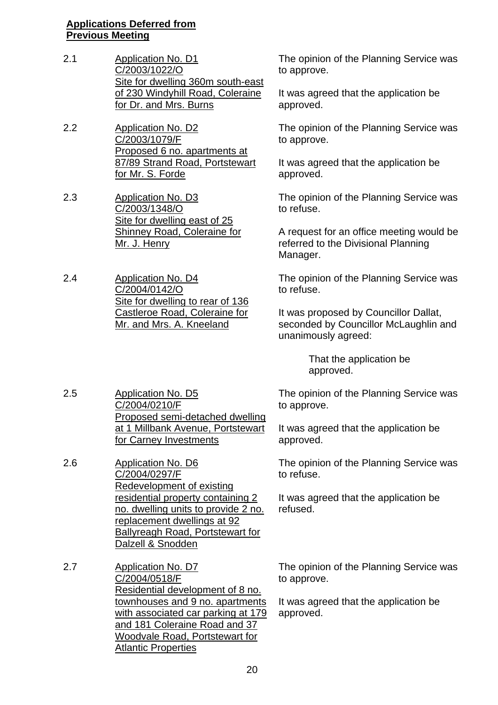#### **Applications Deferred from Previous Meeting**

- 2.1 Application No. D1 C/2003/1022/O Site for dwelling 360m south-east of 230 Windyhill Road, Coleraine for Dr. and Mrs. Burns
- 2.2 Application No. D2 C/2003/1079/F Proposed 6 no. apartments at 87/89 Strand Road, Portstewart for Mr. S. Forde
- 2.3 Application No. D3 C/2003/1348/O Site for dwelling east of 25 Shinney Road, Coleraine for Mr. J. Henry
- 2.4 Application No. D4 C/2004/0142/O Site for dwelling to rear of 136 Castleroe Road, Coleraine for Mr. and Mrs. A. Kneeland

2.5 Application No. D5

2.6 Application No. D6

C/2004/0210/F

C/2004/0297/F

for Carney Investments

Redevelopment of existing

replacement dwellings at 92 Ballyreagh Road, Portstewart for

residential property containing 2 no. dwelling units to provide 2 no.

Proposed semi-detached dwelling at 1 Millbank Avenue, Portstewart

The opinion of the Planning Service was to approve.

It was agreed that the application be approved.

The opinion of the Planning Service was to approve.

It was agreed that the application be approved.

The opinion of the Planning Service was to refuse.

A request for an office meeting would be referred to the Divisional Planning Manager.

The opinion of the Planning Service was to refuse.

It was proposed by Councillor Dallat, seconded by Councillor McLaughlin and unanimously agreed:

> That the application be approved.

The opinion of the Planning Service was to approve.

It was agreed that the application be approved.

The opinion of the Planning Service was to refuse.

It was agreed that the application be refused.

Dalzell & Snodden 2.7 Application No. D7 C/2004/0518/F Residential development of 8 no. townhouses and 9 no. apartments with associated car parking at 179 and 181 Coleraine Road and 37 Woodvale Road, Portstewart for Atlantic Properties

The opinion of the Planning Service was to approve.

It was agreed that the application be approved.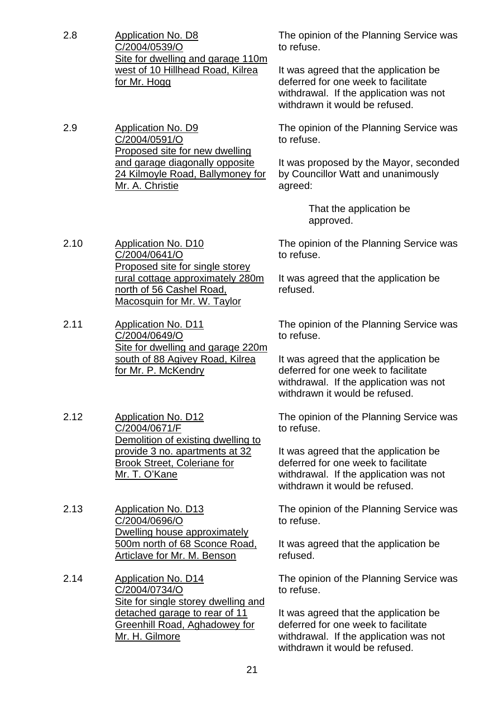2.8 Application No. D8 C/2004/0539/O Site for dwelling and garage 110m west of 10 Hillhead Road, Kilrea for Mr. Hogg

2.9 Application No. D9 C/2004/0591/O Proposed site for new dwelling and garage diagonally opposite 24 Kilmoyle Road, Ballymoney for

Mr. A. Christie

The opinion of the Planning Service was to refuse.

It was agreed that the application be deferred for one week to facilitate withdrawal. If the application was not withdrawn it would be refused.

The opinion of the Planning Service was to refuse.

It was proposed by the Mayor, seconded by Councillor Watt and unanimously agreed:

> That the application be approved.

2.10 Application No. D10 C/2004/0641/O Proposed site for single storey rural cottage approximately 280m north of 56 Cashel Road, Macosquin for Mr. W. Taylor

2.11 Application No. D11 C/2004/0649/O Site for dwelling and garage 220m south of 88 Agivey Road, Kilrea for Mr. P. McKendry

2.12 Application No. D12 C/2004/0671/F Demolition of existing dwelling to provide 3 no. apartments at 32 Brook Street, Coleriane for Mr. T. O'Kane

- 2.13 Application No. D13 C/2004/0696/O Dwelling house approximately 500m north of 68 Sconce Road, Articlave for Mr. M. Benson
- 2.14 Application No. D14 C/2004/0734/O Site for single storey dwelling and detached garage to rear of 11 Greenhill Road, Aghadowey for Mr. H. Gilmore

The opinion of the Planning Service was to refuse.

It was agreed that the application be refused.

The opinion of the Planning Service was to refuse.

It was agreed that the application be deferred for one week to facilitate withdrawal. If the application was not withdrawn it would be refused.

The opinion of the Planning Service was to refuse.

It was agreed that the application be deferred for one week to facilitate withdrawal. If the application was not withdrawn it would be refused.

The opinion of the Planning Service was to refuse.

It was agreed that the application be refused.

The opinion of the Planning Service was to refuse.

It was agreed that the application be deferred for one week to facilitate withdrawal. If the application was not withdrawn it would be refused.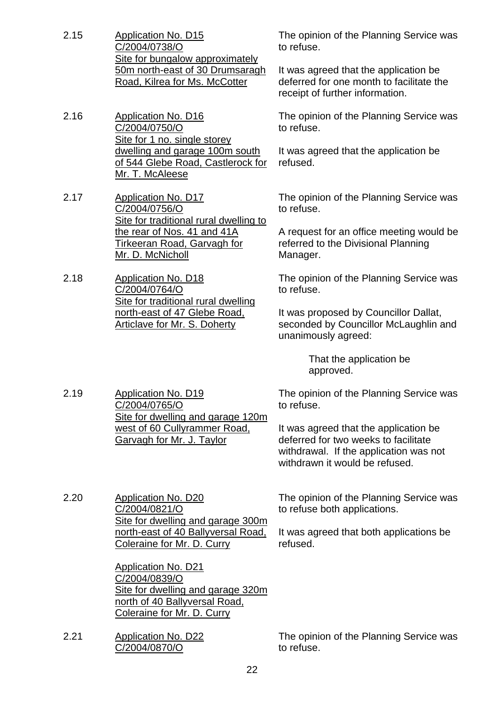- 2.15 Application No. D15 C/2004/0738/O Site for bungalow approximately 50m north-east of 30 Drumsaragh Road, Kilrea for Ms. McCotter
- 2.16 Application No. D16 C/2004/0750/O Site for 1 no. single storey dwelling and garage 100m south of 544 Glebe Road, Castlerock for Mr. T. McAleese
- 2.17 Application No. D17 C/2004/0756/O Site for traditional rural dwelling to the rear of Nos. 41 and 41A Tirkeeran Road, Garvagh for Mr. D. McNicholl
- 2.18 Application No. D18 C/2004/0764/O Site for traditional rural dwelling north-east of 47 Glebe Road, Articlave for Mr. S. Doherty

2.19 Application No. D19

C/2004/0765/O

The opinion of the Planning Service was to refuse.

It was agreed that the application be deferred for one month to facilitate the receipt of further information.

The opinion of the Planning Service was to refuse.

It was agreed that the application be refused.

The opinion of the Planning Service was to refuse.

A request for an office meeting would be referred to the Divisional Planning Manager.

The opinion of the Planning Service was to refuse.

It was proposed by Councillor Dallat, seconded by Councillor McLaughlin and unanimously agreed:

> That the application be approved.

The opinion of the Planning Service was to refuse.

It was agreed that the application be deferred for two weeks to facilitate withdrawal. If the application was not withdrawn it would be refused.

2.20 Application No. D20 C/2004/0821/O Site for dwelling and garage 300m north-east of 40 Ballyversal Road, Coleraine for Mr. D. Curry

> Application No. D21 C/2004/0839/O Site for dwelling and garage 320m north of 40 Ballyversal Road, Coleraine for Mr. D. Curry

> Site for dwelling and garage 120m west of 60 Cullyrammer Road, Garvagh for Mr. J. Taylor

2.21 Application No. D22 C/2004/0870/O

The opinion of the Planning Service was to refuse both applications.

It was agreed that both applications be refused.

The opinion of the Planning Service was to refuse.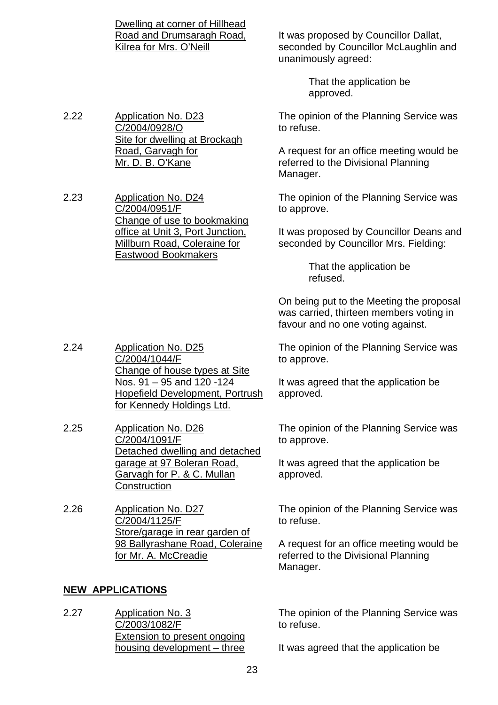Dwelling at corner of Hillhead Road and Drumsaragh Road, Kilrea for Mrs. O'Neill

It was proposed by Councillor Dallat, seconded by Councillor McLaughlin and unanimously agreed:

> That the application be approved.

The opinion of the Planning Service was to refuse.

A request for an office meeting would be referred to the Divisional Planning Manager.

The opinion of the Planning Service was to approve.

It was proposed by Councillor Deans and seconded by Councillor Mrs. Fielding:

> That the application be refused.

On being put to the Meeting the proposal was carried, thirteen members voting in favour and no one voting against.

The opinion of the Planning Service was to approve.

It was agreed that the application be approved.

The opinion of the Planning Service was to approve.

It was agreed that the application be approved.

The opinion of the Planning Service was to refuse.

A request for an office meeting would be referred to the Divisional Planning Manager.

The opinion of the Planning Service was to refuse.

It was agreed that the application be

2.22 Application No. D23 C/2004/0928/O Site for dwelling at Brockagh Road, Garvagh for Mr. D. B. O'Kane

2.23 Application No. D24 C/2004/0951/F Change of use to bookmaking office at Unit 3, Port Junction, Millburn Road, Coleraine for Eastwood Bookmakers

2.24 Application No. D25 C/2004/1044/F Change of house types at Site Nos. 91 – 95 and 120 -124 Hopefield Development, Portrush for Kennedy Holdings Ltd.

- 2.25 Application No. D26 C/2004/1091/F Detached dwelling and detached garage at 97 Boleran Road, Garvagh for P. & C. Mullan **Construction**
- 2.26 Application No. D27 C/2004/1125/F Store/garage in rear garden of 98 Ballyrashane Road, Coleraine for Mr. A. McCreadie

#### **NEW APPLICATIONS**

2.27 Application No. 3 C/2003/1082/F Extension to present ongoing housing development – three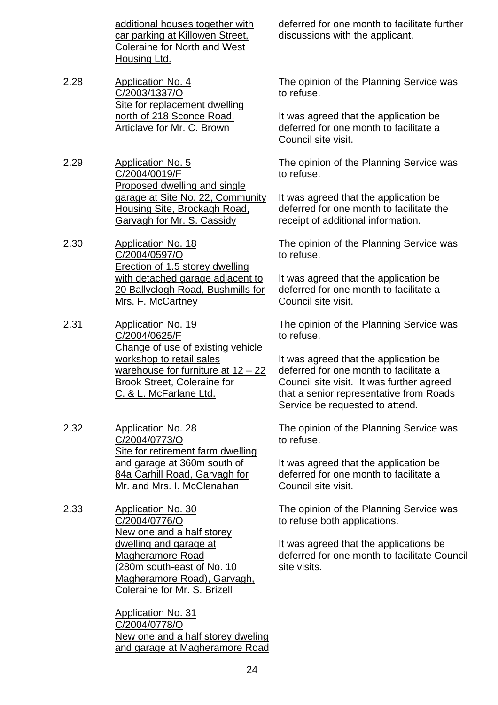additional houses together with car parking at Killowen Street, Coleraine for North and West Housing Ltd.

- 2.28 Application No. 4 C/2003/1337/O Site for replacement dwelling north of 218 Sconce Road, Articlave for Mr. C. Brown
- 2.29 Application No. 5 C/2004/0019/F Proposed dwelling and single garage at Site No. 22, Community Housing Site, Brockagh Road, Garvagh for Mr. S. Cassidy

2.30 Application No. 18 C/2004/0597/O Erection of 1.5 storey dwelling with detached garage adjacent to 20 Ballyclogh Road, Bushmills for Mrs. F. McCartney

- 2.31 Application No. 19 C/2004/0625/F Change of use of existing vehicle workshop to retail sales warehouse for furniture at  $12 - 22$ Brook Street, Coleraine for C. & L. McFarlane Ltd.
- 2.32 Application No. 28 C/2004/0773/O Site for retirement farm dwelling and garage at 360m south of 84a Carhill Road, Garvagh for Mr. and Mrs. I. McClenahan
- 2.33 Application No. 30 C/2004/0776/O New one and a half storey dwelling and garage at Magheramore Road (280m south-east of No. 10 Magheramore Road), Garvagh, Coleraine for Mr. S. Brizell

 Application No. 31 C/2004/0778/O New one and a half storey dweling and garage at Magheramore Road deferred for one month to facilitate further discussions with the applicant.

The opinion of the Planning Service was to refuse.

It was agreed that the application be deferred for one month to facilitate a Council site visit.

The opinion of the Planning Service was to refuse.

It was agreed that the application be deferred for one month to facilitate the receipt of additional information.

The opinion of the Planning Service was to refuse.

It was agreed that the application be deferred for one month to facilitate a Council site visit.

The opinion of the Planning Service was to refuse.

It was agreed that the application be deferred for one month to facilitate a Council site visit. It was further agreed that a senior representative from Roads Service be requested to attend.

The opinion of the Planning Service was to refuse.

It was agreed that the application be deferred for one month to facilitate a Council site visit.

The opinion of the Planning Service was to refuse both applications.

It was agreed that the applications be deferred for one month to facilitate Council site visits.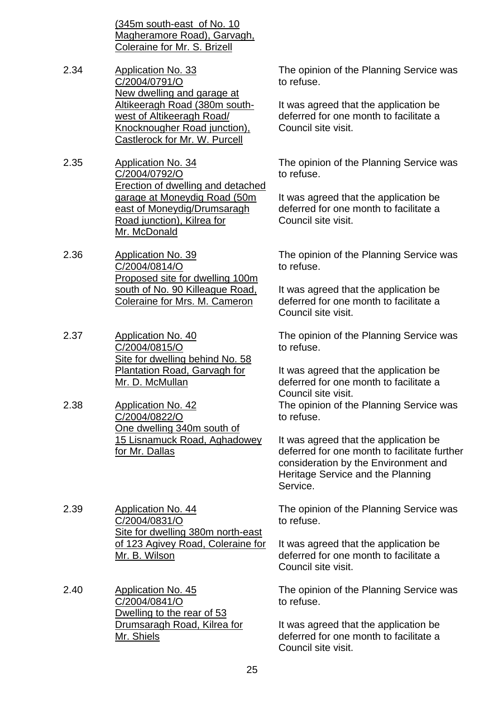(345m south-east of No. 10 Magheramore Road), Garvagh, Coleraine for Mr. S. Brizell

- 2.34 Application No. 33 C/2004/0791/O New dwelling and garage at Altikeeragh Road (380m southwest of Altikeeragh Road/ Knocknougher Road junction), Castlerock for Mr. W. Purcell
- 2.35 Application No. 34 C/2004/0792/O Erection of dwelling and detached garage at Moneydig Road (50m east of Moneydig/Drumsaragh Road junction), Kilrea for Mr. McDonald
- 2.36 Application No. 39 C/2004/0814/O Proposed site for dwelling 100m south of No. 90 Killeague Road, Coleraine for Mrs. M. Cameron
- 2.37 Application No. 40 C/2004/0815/O Site for dwelling behind No. 58 Plantation Road, Garvagh for Mr. D. McMullan
- 2.38 Application No. 42 C/2004/0822/O One dwelling 340m south of 15 Lisnamuck Road, Aghadowey for Mr. Dallas

2.39 Application No. 44 C/2004/0831/O Site for dwelling 380m north-east of 123 Agivey Road, Coleraine for Mr. B. Wilson

2.40 Application No. 45 C/2004/0841/O Dwelling to the rear of 53 Drumsaragh Road, Kilrea for Mr. Shiels

The opinion of the Planning Service was to refuse.

It was agreed that the application be deferred for one month to facilitate a Council site visit.

The opinion of the Planning Service was to refuse.

It was agreed that the application be deferred for one month to facilitate a Council site visit.

The opinion of the Planning Service was to refuse.

It was agreed that the application be deferred for one month to facilitate a Council site visit.

The opinion of the Planning Service was to refuse.

It was agreed that the application be deferred for one month to facilitate a Council site visit. The opinion of the Planning Service was to refuse.

It was agreed that the application be deferred for one month to facilitate further consideration by the Environment and Heritage Service and the Planning Service.

The opinion of the Planning Service was to refuse.

It was agreed that the application be deferred for one month to facilitate a Council site visit.

The opinion of the Planning Service was to refuse.

It was agreed that the application be deferred for one month to facilitate a Council site visit.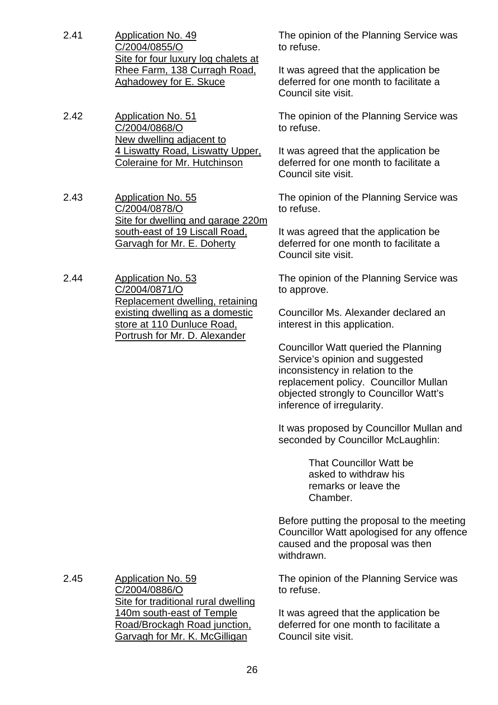- 2.41 Application No. 49 C/2004/0855/O Site for four luxury log chalets at Rhee Farm, 138 Curragh Road, Aghadowey for E. Skuce
- 2.42 Application No. 51 C/2004/0868/O New dwelling adjacent to 4 Liswatty Road, Liswatty Upper, Coleraine for Mr. Hutchinson
- 2.43 Application No. 55 C/2004/0878/O Site for dwelling and garage 220m south-east of 19 Liscall Road, Garvagh for Mr. E. Doherty
- 2.44 Application No. 53 C/2004/0871/O Replacement dwelling, retaining existing dwelling as a domestic store at 110 Dunluce Road, Portrush for Mr. D. Alexander

The opinion of the Planning Service was to refuse.

It was agreed that the application be deferred for one month to facilitate a Council site visit.

The opinion of the Planning Service was to refuse.

It was agreed that the application be deferred for one month to facilitate a Council site visit.

The opinion of the Planning Service was to refuse.

It was agreed that the application be deferred for one month to facilitate a Council site visit.

The opinion of the Planning Service was to approve.

Councillor Ms. Alexander declared an interest in this application.

Councillor Watt queried the Planning Service's opinion and suggested inconsistency in relation to the replacement policy. Councillor Mullan objected strongly to Councillor Watt's inference of irregularity.

It was proposed by Councillor Mullan and seconded by Councillor McLaughlin:

> That Councillor Watt be asked to withdraw his remarks or leave the Chamber.

Before putting the proposal to the meeting Councillor Watt apologised for any offence caused and the proposal was then withdrawn.

The opinion of the Planning Service was to refuse.

It was agreed that the application be deferred for one month to facilitate a Council site visit.

2.45 Application No. 59 C/2004/0886/O Site for traditional rural dwelling 140m south-east of Temple Road/Brockagh Road junction, Garvagh for Mr. K. McGilligan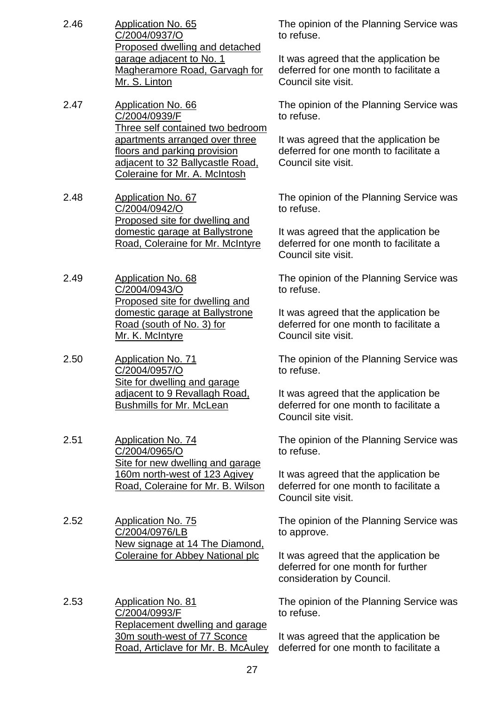- 2.46 Application No. 65 C/2004/0937/O Proposed dwelling and detached garage adjacent to No. 1 Magheramore Road, Garvagh for Mr. S. Linton
- 2.47 Application No. 66 C/2004/0939/F Three self contained two bedroom apartments arranged over three floors and parking provision adjacent to 32 Ballycastle Road, Coleraine for Mr. A. McIntosh
- 2.48 Application No. 67 C/2004/0942/O Proposed site for dwelling and domestic garage at Ballystrone Road, Coleraine for Mr. McIntyre
- 2.49 Application No. 68 C/2004/0943/O Proposed site for dwelling and domestic garage at Ballystrone Road (south of No. 3) for Mr. K. McIntyre
- 2.50 Application No. 71 C/2004/0957/O Site for dwelling and garage adjacent to 9 Revallagh Road, Bushmills for Mr. McLean
- 2.51 Application No. 74 C/2004/0965/O Site for new dwelling and garage 160m north-west of 123 Agivey Road, Coleraine for Mr. B. Wilson
- 2.52 Application No. 75 C/2004/0976/LB New signage at 14 The Diamond, Coleraine for Abbey National plc

2.53 Application No. 81 C/2004/0993/F Replacement dwelling and garage 30m south-west of 77 Sconce Road, Articlave for Mr. B. McAuley The opinion of the Planning Service was to refuse.

It was agreed that the application be deferred for one month to facilitate a Council site visit.

The opinion of the Planning Service was to refuse.

It was agreed that the application be deferred for one month to facilitate a Council site visit.

The opinion of the Planning Service was to refuse.

It was agreed that the application be deferred for one month to facilitate a Council site visit.

The opinion of the Planning Service was to refuse.

It was agreed that the application be deferred for one month to facilitate a Council site visit.

The opinion of the Planning Service was to refuse.

It was agreed that the application be deferred for one month to facilitate a Council site visit.

The opinion of the Planning Service was to refuse.

It was agreed that the application be deferred for one month to facilitate a Council site visit.

The opinion of the Planning Service was to approve.

It was agreed that the application be deferred for one month for further consideration by Council.

The opinion of the Planning Service was to refuse.

It was agreed that the application be deferred for one month to facilitate a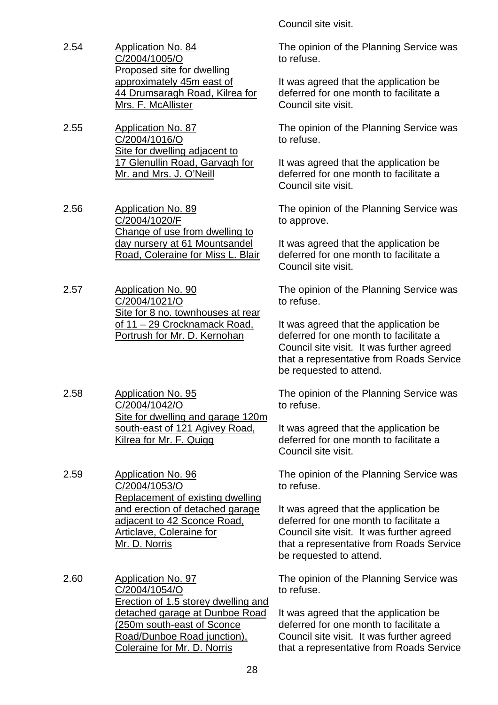- 2.54 Application No. 84 C/2004/1005/O Proposed site for dwelling approximately 45m east of 44 Drumsaragh Road, Kilrea for Mrs. F. McAllister
- 2.55 Application No. 87 C/2004/1016/O Site for dwelling adjacent to 17 Glenullin Road, Garvagh for Mr. and Mrs. J. O'Neill
- 2.56 Application No. 89 C/2004/1020/F Change of use from dwelling to day nursery at 61 Mountsandel Road, Coleraine for Miss L. Blair
- 2.57 Application No. 90 C/2004/1021/O Site for 8 no. townhouses at rear of 11 – 29 Crocknamack Road, Portrush for Mr. D. Kernohan
- 2.58 Application No. 95 C/2004/1042/O Site for dwelling and garage 120m south-east of 121 Agivey Road, Kilrea for Mr. F. Quigg
- 2.59 Application No. 96 C/2004/1053/O Replacement of existing dwelling and erection of detached garage adjacent to 42 Sconce Road, Articlave, Coleraine for Mr. D. Norris
- 2.60 Application No. 97 C/2004/1054/O Erection of 1.5 storey dwelling and detached garage at Dunboe Road (250m south-east of Sconce Road/Dunboe Road junction), Coleraine for Mr. D. Norris

Council site visit.

The opinion of the Planning Service was to refuse.

It was agreed that the application be deferred for one month to facilitate a Council site visit.

The opinion of the Planning Service was to refuse.

It was agreed that the application be deferred for one month to facilitate a Council site visit.

The opinion of the Planning Service was to approve.

It was agreed that the application be deferred for one month to facilitate a Council site visit.

The opinion of the Planning Service was to refuse.

It was agreed that the application be deferred for one month to facilitate a Council site visit. It was further agreed that a representative from Roads Service be requested to attend.

The opinion of the Planning Service was to refuse.

It was agreed that the application be deferred for one month to facilitate a Council site visit.

The opinion of the Planning Service was to refuse.

It was agreed that the application be deferred for one month to facilitate a Council site visit. It was further agreed that a representative from Roads Service be requested to attend.

The opinion of the Planning Service was to refuse.

It was agreed that the application be deferred for one month to facilitate a Council site visit. It was further agreed that a representative from Roads Service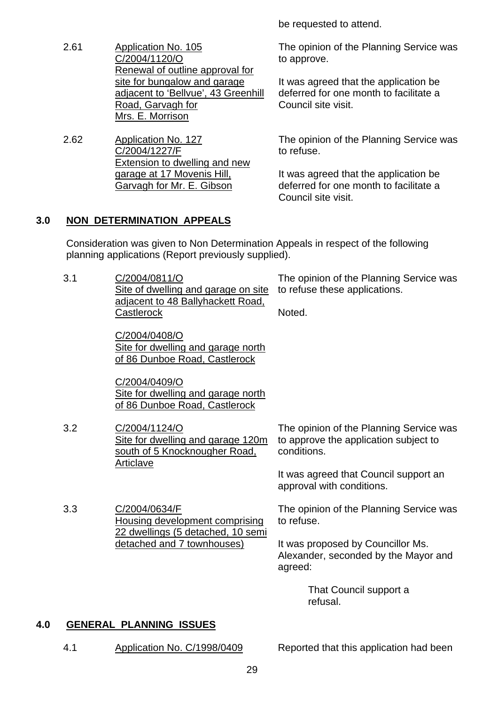be requested to attend.

2.61 Application No. 105 C/2004/1120/O Renewal of outline approval for site for bungalow and garage adjacent to 'Bellvue', 43 Greenhill Road, Garvagh for Mrs. E. Morrison

2.62 Application No. 127 C/2004/1227/F Extension to dwelling and new garage at 17 Movenis Hill, Garvagh for Mr. E. Gibson

The opinion of the Planning Service was to approve.

It was agreed that the application be deferred for one month to facilitate a Council site visit.

The opinion of the Planning Service was to refuse.

It was agreed that the application be deferred for one month to facilitate a Council site visit.

#### **3.0 NON DETERMINATION APPEALS**

 Consideration was given to Non Determination Appeals in respect of the following planning applications (Report previously supplied).

| 3.1 | C/2004/0811/O<br>Site of dwelling and garage on site<br>adjacent to 48 Ballyhackett Road,<br>Castlerock | The opinion of the Planning Service was<br>to refuse these applications.<br>Noted.              |
|-----|---------------------------------------------------------------------------------------------------------|-------------------------------------------------------------------------------------------------|
|     | C/2004/0408/O<br>Site for dwelling and garage north<br>of 86 Dunboe Road, Castlerock                    |                                                                                                 |
|     | C/2004/0409/O<br>Site for dwelling and garage north<br>of 86 Dunboe Road, Castlerock                    |                                                                                                 |
| 3.2 | C/2004/1124/O<br>Site for dwelling and garage 120m<br>south of 5 Knocknougher Road,<br>Articlave        | The opinion of the Planning Service was<br>to approve the application subject to<br>conditions. |
|     |                                                                                                         | It was agreed that Council support an<br>approval with conditions.                              |
| 3.3 | C/2004/0634/F<br>Housing development comprising<br>22 dwellings (5 detached, 10 semi                    | The opinion of the Planning Service was<br>to refuse.                                           |
|     | detached and 7 townhouses)                                                                              | It was proposed by Councillor Ms.<br>Alexander, seconded by the Mayor and<br>agreed:            |
|     |                                                                                                         | That Council support a<br>refusal.                                                              |

#### **4.0 GENERAL PLANNING ISSUES**

4.1 Application No. C/1998/0409 Reported that this application had been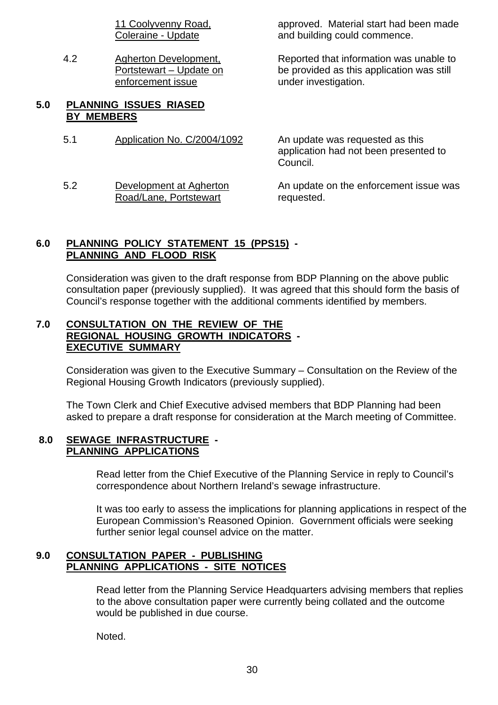11 Coolyvenny Road, Coleraine - Update

4.2 Agherton Development, Portstewart – Update on enforcement issue

#### **5.0 PLANNING ISSUES RIASED BY MEMBERS**

5.1 Application No. C/2004/1092 An update was requested as this

5.2 Development at Agherton Road/Lane, Portstewart

approved. Material start had been made and building could commence.

Reported that information was unable to be provided as this application was still under investigation.

application had not been presented to Council.

An update on the enforcement issue was requested.

#### **6.0 PLANNING POLICY STATEMENT 15 (PPS15) - PLANNING AND FLOOD RISK**

 Consideration was given to the draft response from BDP Planning on the above public consultation paper (previously supplied). It was agreed that this should form the basis of Council's response together with the additional comments identified by members.

#### **7.0 CONSULTATION ON THE REVIEW OF THE REGIONAL HOUSING GROWTH INDICATORS - EXECUTIVE SUMMARY**

 Consideration was given to the Executive Summary – Consultation on the Review of the Regional Housing Growth Indicators (previously supplied).

 The Town Clerk and Chief Executive advised members that BDP Planning had been asked to prepare a draft response for consideration at the March meeting of Committee.

#### **8.0 SEWAGE INFRASTRUCTURE - PLANNING APPLICATIONS**

 Read letter from the Chief Executive of the Planning Service in reply to Council's correspondence about Northern Ireland's sewage infrastructure.

 It was too early to assess the implications for planning applications in respect of the European Commission's Reasoned Opinion. Government officials were seeking further senior legal counsel advice on the matter.

#### **9.0 CONSULTATION PAPER - PUBLISHING PLANNING APPLICATIONS - SITE NOTICES**

 Read letter from the Planning Service Headquarters advising members that replies to the above consultation paper were currently being collated and the outcome would be published in due course.

Noted.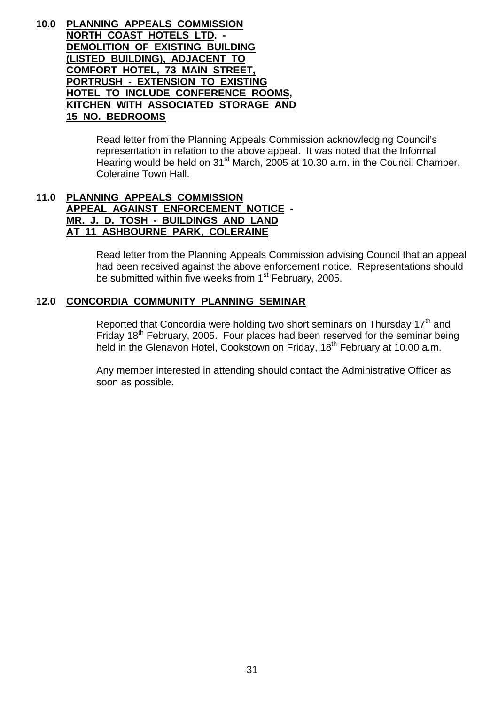**10.0 PLANNING APPEALS COMMISSION NORTH COAST HOTELS LTD. - DEMOLITION OF EXISTING BUILDING (LISTED BUILDING), ADJACENT TO COMFORT HOTEL, 73 MAIN STREET, PORTRUSH - EXTENSION TO EXISTING HOTEL TO INCLUDE CONFERENCE ROOMS, KITCHEN WITH ASSOCIATED STORAGE AND 15 NO. BEDROOMS**

> Read letter from the Planning Appeals Commission acknowledging Council's representation in relation to the above appeal. It was noted that the Informal Hearing would be held on  $31<sup>st</sup>$  March, 2005 at 10.30 a.m. in the Council Chamber, Coleraine Town Hall.

#### **11.0 PLANNING APPEALS COMMISSION APPEAL AGAINST ENFORCEMENT NOTICE - MR. J. D. TOSH - BUILDINGS AND LAND AT 11 ASHBOURNE PARK, COLERAINE**

 Read letter from the Planning Appeals Commission advising Council that an appeal had been received against the above enforcement notice. Representations should be submitted within five weeks from 1<sup>st</sup> February, 2005.

#### **12.0 CONCORDIA COMMUNITY PLANNING SEMINAR**

Reported that Concordia were holding two short seminars on Thursday  $17<sup>th</sup>$  and Friday 18<sup>th</sup> February, 2005. Four places had been reserved for the seminar being held in the Glenavon Hotel, Cookstown on Friday, 18<sup>th</sup> February at 10.00 a.m.

 Any member interested in attending should contact the Administrative Officer as soon as possible.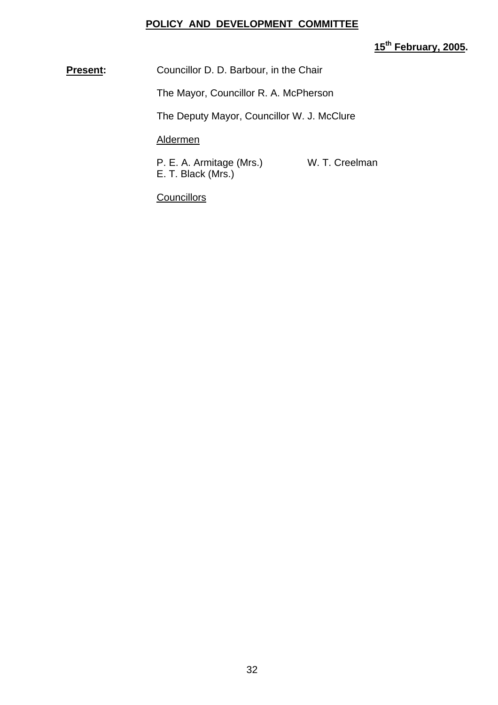#### **POLICY AND DEVELOPMENT COMMITTEE**

# **15th February, 2005.**

**Present:** Councillor D. D. Barbour, in the Chair

The Mayor, Councillor R. A. McPherson

The Deputy Mayor, Councillor W. J. McClure

#### Aldermen

P. E. A. Armitage (Mrs.) W. T. Creelman E. T. Black (Mrs.)

**Councillors**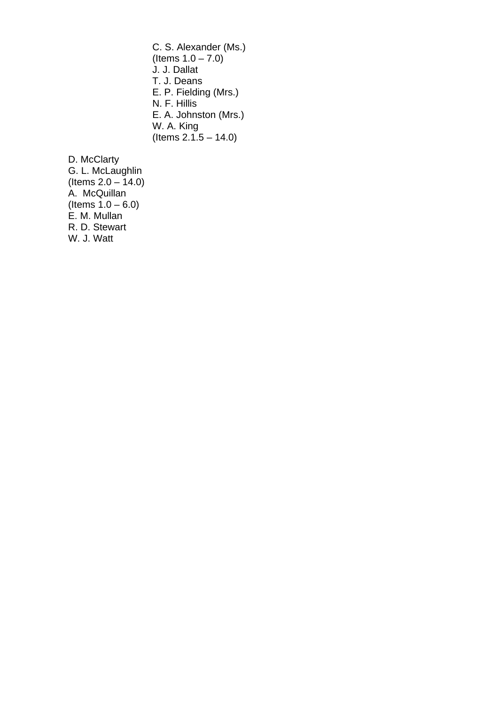C. S. Alexander (Ms.) (Items  $1.0 - 7.0$ ) J. J. Dallat T. J. Deans E. P. Fielding (Mrs.) N. F. Hillis E. A. Johnston (Mrs.) W. A. King  $($  Items 2.1.5 – 14.0)

D. McClarty G. L. McLaughlin (Items 2.0 – 14.0) A. McQuillan (Items  $1.0 - 6.0$ ) E. M. Mullan R. D. Stewart W. J. Watt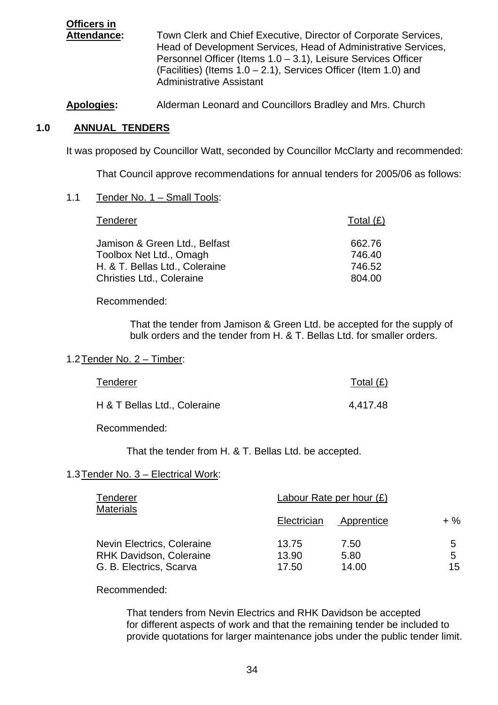**Officers in** Attendance: Town Clerk and Chief Executive, Director of Corporate Services, Head of Development Services, Head of Administrative Services, Personnel Officer (Items 1.0 – 3.1), Leisure Services Officer (Facilities) (Items 1.0 – 2.1), Services Officer (Item 1.0) and Administrative Assistant

**Apologies:** Alderman Leonard and Councillors Bradley and Mrs. Church

#### **1.0 ANNUAL TENDERS**

It was proposed by Councillor Watt, seconded by Councillor McClarty and recommended:

That Council approve recommendations for annual tenders for 2005/06 as follows:

#### 1.1 Tender No. 1 – Small Tools:

| Tenderer                       | Total $(E)$ |
|--------------------------------|-------------|
| Jamison & Green Ltd., Belfast  | 662.76      |
| Toolbox Net Ltd., Omagh        | 746.40      |
| H. & T. Bellas Ltd., Coleraine | 746.52      |
| Christies Ltd., Coleraine      | 804.00      |

Recommended:

That the tender from Jamison & Green Ltd. be accepted for the supply of bulk orders and the tender from H. & T. Bellas Ltd. for smaller orders.

#### 1.2 Tender No. 2 – Timber:

| Tenderer                     | Total $(E)$ |
|------------------------------|-------------|
| H & T Bellas Ltd., Coleraine | 4,417.48    |

Recommended:

That the tender from H. & T. Bellas Ltd. be accepted.

#### 1.3 Tender No. 3 – Electrical Work:

| <b>Tenderer</b><br><b>Materials</b>                                                     | Labour Rate per hour $(E)$ |                       |              |
|-----------------------------------------------------------------------------------------|----------------------------|-----------------------|--------------|
|                                                                                         | Electrician                | Apprentice            | $+ \%$       |
| Nevin Electrics, Coleraine<br><b>RHK Davidson, Coleraine</b><br>G. B. Electrics, Scarva | 13.75<br>13.90<br>17.50    | 7.50<br>5.80<br>14.00 | 5<br>5<br>15 |

#### Recommended:

 That tenders from Nevin Electrics and RHK Davidson be accepted for different aspects of work and that the remaining tender be included to provide quotations for larger maintenance jobs under the public tender limit.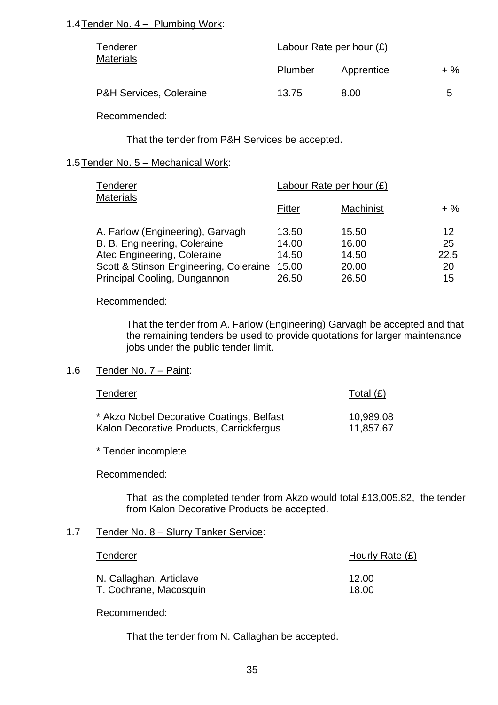#### 1.4 Tender No. 4 – Plumbing Work:

| Tenderer<br><b>Materials</b>       | Labour Rate per hour $(E)$ |            |        |
|------------------------------------|----------------------------|------------|--------|
|                                    | Plumber                    | Apprentice | $+ \%$ |
| <b>P&amp;H Services, Coleraine</b> | 13.75                      | 8.00       | 5      |

Recommended:

That the tender from P&H Services be accepted.

#### 1.5 Tender No. 5 – Mechanical Work:

| Tenderer<br><b>Materials</b>           | Labour Rate per hour $(E)$ |           |        |
|----------------------------------------|----------------------------|-----------|--------|
|                                        | Fitter                     | Machinist | $+ \%$ |
| A. Farlow (Engineering), Garvagh       | 13.50                      | 15.50     | 12     |
| B. B. Engineering, Coleraine           | 14.00                      | 16.00     | 25     |
| Atec Engineering, Coleraine            | 14.50                      | 14.50     | 22.5   |
| Scott & Stinson Engineering, Coleraine | 15.00                      | 20.00     | 20     |
| Principal Cooling, Dungannon           | 26.50                      | 26.50     | 15     |

Recommended:

 That the tender from A. Farlow (Engineering) Garvagh be accepted and that the remaining tenders be used to provide quotations for larger maintenance jobs under the public tender limit.

#### 1.6 Tender No. 7 – Paint:

| Tenderer                                  | Total $(E)$ |
|-------------------------------------------|-------------|
| * Akzo Nobel Decorative Coatings, Belfast | 10,989.08   |
| Kalon Decorative Products, Carrickfergus  | 11,857.67   |

\* Tender incomplete

Recommended:

 That, as the completed tender from Akzo would total £13,005.82, the tender from Kalon Decorative Products be accepted.

#### 1.7 Tender No. 8 – Slurry Tanker Service:

| Tenderer                | Hourly Rate $(E)$ |
|-------------------------|-------------------|
| N. Callaghan, Articlave | 12.00             |
| T. Cochrane, Macosquin  | 18.00             |

Recommended:

That the tender from N. Callaghan be accepted.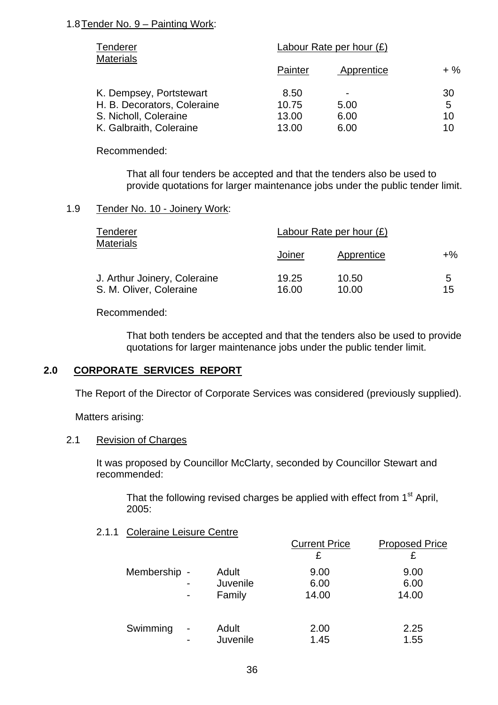#### 1.8 Tender No. 9 – Painting Work:

| Tenderer<br><b>Materials</b> | Labour Rate per hour $(E)$ |                |        |
|------------------------------|----------------------------|----------------|--------|
|                              | Painter                    | Apprentice     | $+ \%$ |
| K. Dempsey, Portstewart      | 8.50                       | $\blacksquare$ | 30     |
| H. B. Decorators, Coleraine  | 10.75                      | 5.00           | 5      |
| S. Nicholl, Coleraine        | 13.00                      | 6.00           | 10     |
| K. Galbraith, Coleraine      | 13.00                      | 6.00           | 10     |

Recommended:

That all four tenders be accepted and that the tenders also be used to provide quotations for larger maintenance jobs under the public tender limit.

#### 1.9 Tender No. 10 - Joinery Work:

| Tenderer                     | Labour Rate per hour $(E)$ |            |    |
|------------------------------|----------------------------|------------|----|
| <b>Materials</b>             | Joiner                     | Apprentice | +% |
| J. Arthur Joinery, Coleraine | 19.25                      | 10.50      | 5  |
| S. M. Oliver, Coleraine      | 16.00                      | 10.00      | 15 |

Recommended:

 That both tenders be accepted and that the tenders also be used to provide quotations for larger maintenance jobs under the public tender limit.

#### **2.0 CORPORATE SERVICES REPORT**

The Report of the Director of Corporate Services was considered (previously supplied).

Matters arising:

#### 2.1 Revision of Charges

 It was proposed by Councillor McClarty, seconded by Councillor Stewart and recommended:

That the following revised charges be applied with effect from 1<sup>st</sup> April, 2005:

2.1.1 Coleraine Leisure Centre

|                          |          | <b>Current Price</b> | <b>Proposed Price</b> |
|--------------------------|----------|----------------------|-----------------------|
|                          |          | £                    | £                     |
| Membership -             | Adult    | 9.00                 | 9.00                  |
| $\overline{\phantom{a}}$ | Juvenile | 6.00                 | 6.00                  |
| ٠                        | Family   | 14.00                | 14.00                 |
| Swimming<br>-            | Adult    | 2.00                 | 2.25                  |
| $\overline{\phantom{0}}$ | Juvenile | 1.45                 | 1.55                  |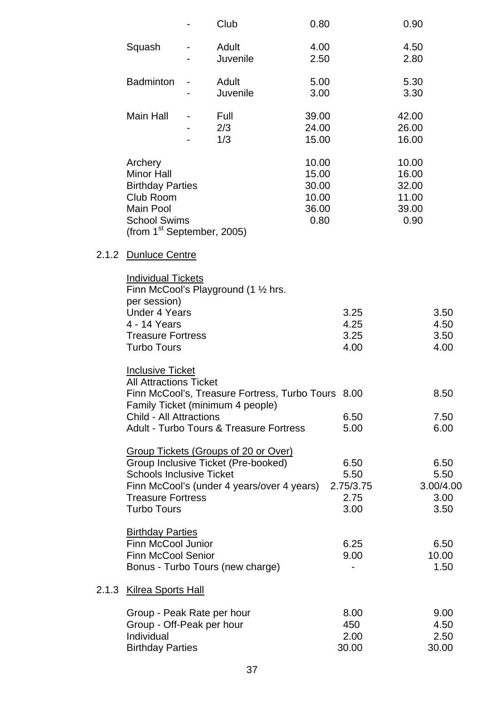|                                                                                                                                          | Club                                                                                                                      | 0.80                                               |                                           | 0.90                                              |                                           |
|------------------------------------------------------------------------------------------------------------------------------------------|---------------------------------------------------------------------------------------------------------------------------|----------------------------------------------------|-------------------------------------------|---------------------------------------------------|-------------------------------------------|
| Squash                                                                                                                                   | Adult<br>Juvenile                                                                                                         | 4.00<br>2.50                                       |                                           | 4.50<br>2.80                                      |                                           |
| <b>Badminton</b>                                                                                                                         | Adult<br>Juvenile                                                                                                         | 5.00<br>3.00                                       |                                           | 5.30<br>3.30                                      |                                           |
| Main Hall                                                                                                                                | Full<br>2/3<br>1/3                                                                                                        | 39.00<br>24.00<br>15.00                            |                                           | 42.00<br>26.00<br>16.00                           |                                           |
| Archery<br><b>Minor Hall</b><br><b>Birthday Parties</b><br>Club Room<br>Main Pool<br><b>School Swims</b><br>(from $1st$ September, 2005) |                                                                                                                           | 10.00<br>15.00<br>30.00<br>10.00<br>36.00<br>0.80  |                                           | 10.00<br>16.00<br>32.00<br>11.00<br>39.00<br>0.90 |                                           |
| 2.1.2 Dunluce Centre                                                                                                                     |                                                                                                                           |                                                    |                                           |                                                   |                                           |
| <b>Individual Tickets</b><br>per session)<br><b>Under 4 Years</b><br>4 - 14 Years<br><b>Treasure Fortress</b><br><b>Turbo Tours</b>      | Finn McCool's Playground $(1 \frac{1}{2})$ hrs.                                                                           |                                                    | 3.25<br>4.25<br>3.25<br>4.00              |                                                   | 3.50<br>4.50<br>3.50<br>4.00              |
| <b>Inclusive Ticket</b><br><b>All Attractions Ticket</b><br><b>Child - All Attractions</b>                                               | Family Ticket (minimum 4 people)<br><b>Adult - Turbo Tours &amp; Treasure Fortress</b>                                    | Finn McCool's, Treasure Fortress, Turbo Tours 8.00 | 6.50<br>5.00                              |                                                   | 8.50<br>7.50<br>6.00                      |
| <b>Schools Inclusive Ticket</b><br><b>Treasure Fortress</b><br><b>Turbo Tours</b>                                                        | Group Tickets (Groups of 20 or Over)<br>Group Inclusive Ticket (Pre-booked)<br>Finn McCool's (under 4 years/over 4 years) |                                                    | 6.50<br>5.50<br>2.75/3.75<br>2.75<br>3.00 |                                                   | 6.50<br>5.50<br>3.00/4.00<br>3.00<br>3.50 |
| <b>Birthday Parties</b><br>Finn McCool Junior<br><b>Finn McCool Senior</b>                                                               | Bonus - Turbo Tours (new charge)                                                                                          |                                                    | 6.25<br>9.00                              |                                                   | 6.50<br>10.00<br>1.50                     |
| 2.1.3 Kilrea Sports Hall                                                                                                                 |                                                                                                                           |                                                    |                                           |                                                   |                                           |
| Group - Peak Rate per hour<br>Group - Off-Peak per hour<br>Individual<br><b>Birthday Parties</b>                                         |                                                                                                                           |                                                    | 8.00<br>450<br>2.00<br>30.00              |                                                   | 9.00<br>4.50<br>2.50<br>30.00             |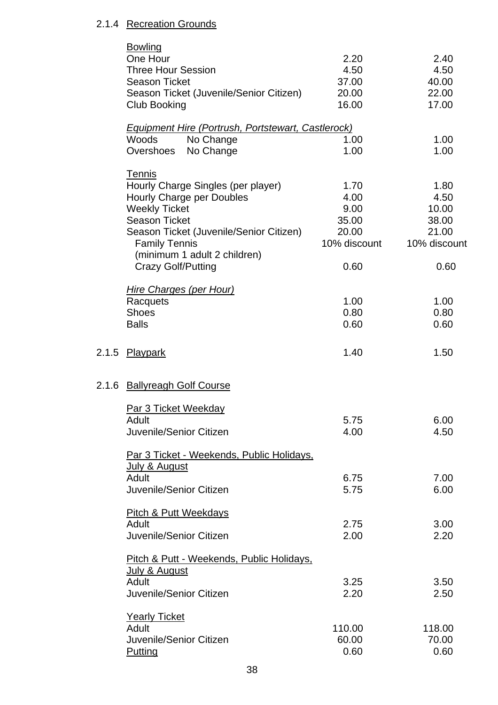#### 2.1.4 Recreation Grounds

|       | <b>Bowling</b>                                            |              |              |
|-------|-----------------------------------------------------------|--------------|--------------|
|       | One Hour                                                  | 2.20         | 2.40         |
|       | <b>Three Hour Session</b>                                 | 4.50         | 4.50         |
|       | <b>Season Ticket</b>                                      | 37.00        | 40.00        |
|       | Season Ticket (Juvenile/Senior Citizen)                   | 20.00        | 22.00        |
|       | Club Booking                                              | 16.00        | 17.00        |
|       | <b>Equipment Hire (Portrush, Portstewart, Castlerock)</b> |              |              |
|       | Woods<br>No Change                                        | 1.00         | 1.00         |
|       | No Change<br>Overshoes                                    | 1.00         | 1.00         |
|       |                                                           |              |              |
|       | <b>Tennis</b>                                             |              |              |
|       | Hourly Charge Singles (per player)                        | 1.70         | 1.80         |
|       | Hourly Charge per Doubles                                 | 4.00         | 4.50         |
|       | <b>Weekly Ticket</b>                                      | 9.00         | 10.00        |
|       | <b>Season Ticket</b>                                      | 35.00        | 38.00        |
|       | Season Ticket (Juvenile/Senior Citizen)                   | 20.00        | 21.00        |
|       | <b>Family Tennis</b>                                      | 10% discount | 10% discount |
|       | (minimum 1 adult 2 children)                              |              |              |
|       | <b>Crazy Golf/Putting</b>                                 | 0.60         | 0.60         |
|       |                                                           |              |              |
|       | <b>Hire Charges (per Hour)</b>                            |              |              |
|       | Racquets                                                  | 1.00         | 1.00         |
|       | <b>Shoes</b>                                              | 0.80         | 0.80         |
|       | <b>Balls</b>                                              | 0.60         | 0.60         |
| 2.1.5 | <b>Playpark</b>                                           | 1.40         | 1.50         |
| 2.1.6 | <b>Ballyreagh Golf Course</b>                             |              |              |
|       |                                                           |              |              |
|       | Par 3 Ticket Weekday                                      |              |              |
|       | <b>Adult</b>                                              | 5.75         | 6.00         |
|       | Juvenile/Senior Citizen                                   | 4.00         | 4.50         |
|       | Par 3 Ticket - Weekends, Public Holidays,                 |              |              |
|       | July & August                                             |              |              |
|       | Adult                                                     | 6.75         | 7.00         |
|       | Juvenile/Senior Citizen                                   | 5.75         | 6.00         |
|       |                                                           |              |              |
|       | <b>Pitch &amp; Putt Weekdays</b>                          |              |              |
|       | Adult                                                     | 2.75         | 3.00         |
|       | Juvenile/Senior Citizen                                   | 2.00         | 2.20         |
|       | Pitch & Putt - Weekends, Public Holidays,                 |              |              |
|       | July & August                                             |              |              |
|       | Adult                                                     | 3.25         | 3.50         |
|       | Juvenile/Senior Citizen                                   | 2.20         | 2.50         |
|       | <b>Yearly Ticket</b>                                      |              |              |
|       | Adult                                                     | 110.00       | 118.00       |
|       | Juvenile/Senior Citizen                                   | 60.00        | 70.00        |
|       |                                                           | 0.60         | 0.60         |
|       | Putting                                                   |              |              |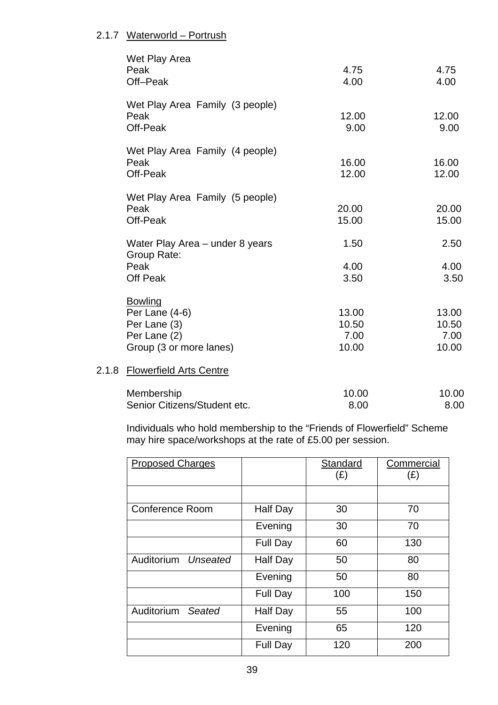#### 2.1.7 Waterworld – Portrush

|       | Wet Play Area<br>Peak<br>Off-Peak                                                             | 4.75<br>4.00                    | 4.75<br>4.00                    |
|-------|-----------------------------------------------------------------------------------------------|---------------------------------|---------------------------------|
|       | Wet Play Area Family (3 people)<br>Peak<br>Off-Peak                                           | 12.00<br>9.00                   | 12.00<br>9.00                   |
|       | Wet Play Area Family (4 people)<br>Peak<br>Off-Peak                                           | 16.00<br>12.00                  | 16.00<br>12.00                  |
|       | Wet Play Area Family (5 people)<br>Peak<br>Off-Peak                                           | 20.00<br>15.00                  | 20.00<br>15.00                  |
|       | Water Play Area - under 8 years<br>Group Rate:<br>Peak<br>Off Peak                            | 1.50<br>4.00<br>3.50            | 2.50<br>4.00<br>3.50            |
|       | <b>Bowling</b><br>Per Lane $(4-6)$<br>Per Lane (3)<br>Per Lane (2)<br>Group (3 or more lanes) | 13.00<br>10.50<br>7.00<br>10.00 | 13.00<br>10.50<br>7.00<br>10.00 |
| 2.1.8 | <b>Flowerfield Arts Centre</b>                                                                |                                 |                                 |

#### $2.1.8$

| Membership                   | 10.00 | 10.00 |
|------------------------------|-------|-------|
| Senior Citizens/Student etc. | 8.00  | 8.00  |

Individuals who hold membership to the "Friends of Flowerfield" Scheme may hire space/workshops at the rate of £5.00 per session.

| <b>Proposed Charges</b> |                 | Standard<br>$(\pounds)$ | Commercial<br>(E) |
|-------------------------|-----------------|-------------------------|-------------------|
|                         |                 |                         |                   |
| <b>Conference Room</b>  | Half Day        | 30                      | 70                |
|                         | Evening         | 30                      | 70                |
|                         | <b>Full Day</b> | 60                      | 130               |
| Auditorium<br>Unseated  | <b>Half Day</b> | 50                      | 80                |
|                         | Evening         | 50                      | 80                |
|                         | <b>Full Day</b> | 100                     | 150               |
| Auditorium<br>Seated    | Half Day        | 55                      | 100               |
|                         | Evening         | 65                      | 120               |
|                         | <b>Full Day</b> | 120                     | 200               |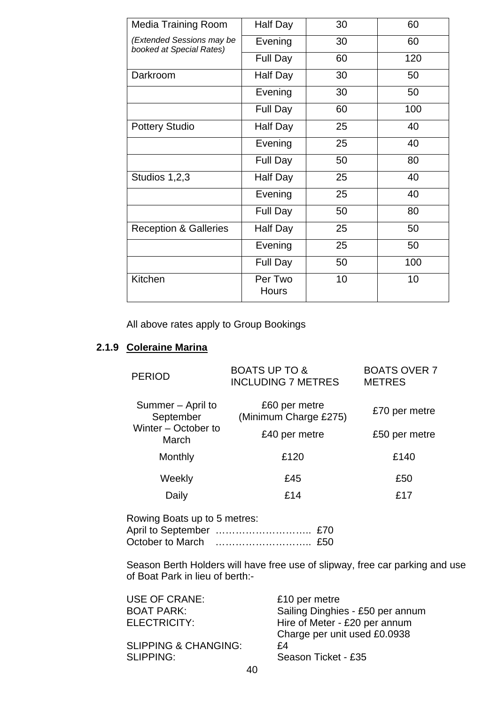| <b>Media Training Room</b>                            | Half Day                | 30 | 60  |
|-------------------------------------------------------|-------------------------|----|-----|
| (Extended Sessions may be<br>booked at Special Rates) | Evening                 | 30 | 60  |
|                                                       | <b>Full Day</b>         | 60 | 120 |
| Darkroom                                              | Half Day                | 30 | 50  |
|                                                       | Evening                 | 30 | 50  |
|                                                       | Full Day                | 60 | 100 |
| <b>Pottery Studio</b>                                 | Half Day                | 25 | 40  |
|                                                       | Evening                 | 25 | 40  |
|                                                       | Full Day                | 50 | 80  |
| Studios 1,2,3                                         | Half Day                | 25 | 40  |
|                                                       | Evening                 | 25 | 40  |
|                                                       | Full Day                | 50 | 80  |
| <b>Reception &amp; Galleries</b>                      | Half Day                | 25 | 50  |
|                                                       | Evening                 | 25 | 50  |
|                                                       | Full Day                | 50 | 100 |
| Kitchen                                               | Per Two<br><b>Hours</b> | 10 | 10  |

All above rates apply to Group Bookings

#### **2.1.9 Coleraine Marina**

| <b>PERIOD</b>                  | <b>BOATS UP TO &amp;</b><br><b>INCLUDING 7 METRES</b> | <b>BOATS OVER 7</b><br><b>METRES</b> |
|--------------------------------|-------------------------------------------------------|--------------------------------------|
| Summer – April to<br>September | £60 per metre<br>(Minimum Charge £275)                | £70 per metre                        |
| Winter - October to<br>March   | £40 per metre                                         | £50 per metre                        |
| Monthly                        | £120                                                  | £140                                 |
| Weekly                         | £45                                                   | £50                                  |
| Daily                          | £14                                                   | £17                                  |
|                                |                                                       |                                      |

Rowing Boats up to 5 metres: April to September ……………………….. £70 October to March ……………………….. £50

Season Berth Holders will have free use of slipway, free car parking and use of Boat Park in lieu of berth:-

| <b>USE OF CRANE:</b>            |        | £10 per metre                    |
|---------------------------------|--------|----------------------------------|
| <b>BOAT PARK:</b>               |        | Sailing Dinghies - £50 per annum |
| ELECTRICITY:                    |        | Hire of Meter - £20 per annum    |
|                                 |        | Charge per unit used £0.0938     |
| <b>SLIPPING &amp; CHANGING:</b> |        | £4                               |
| <b>SLIPPING:</b>                |        | Season Ticket - £35              |
|                                 | $\sim$ |                                  |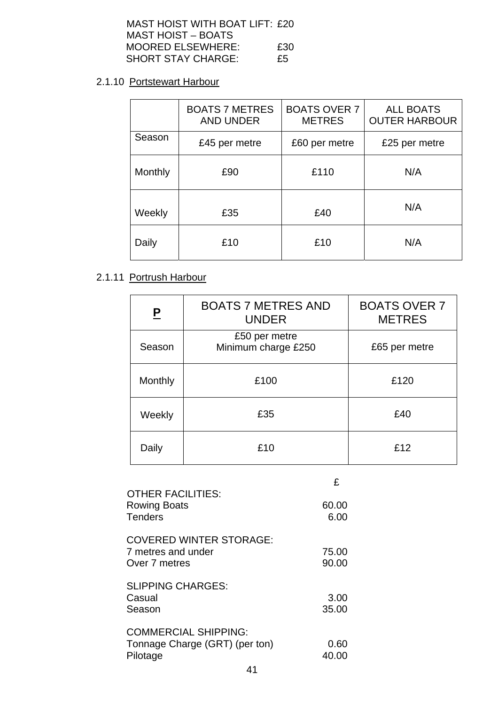| MAST HOIST WITH BOAT LIFT: £20 |     |
|--------------------------------|-----|
| MAST HOIST – BOATS             |     |
| <b>MOORED ELSEWHERE:</b>       | £30 |
| <b>SHORT STAY CHARGE:</b>      | £5  |

# 2.1.10 Portstewart Harbour

|         | <b>BOATS 7 METRES</b><br><b>AND UNDER</b> | <b>BOATS OVER 7</b><br><b>METRES</b> | <b>ALL BOATS</b><br><b>OUTER HARBOUR</b> |
|---------|-------------------------------------------|--------------------------------------|------------------------------------------|
| Season  | £45 per metre                             | £60 per metre                        | £25 per metre                            |
| Monthly | £90                                       | £110                                 | N/A                                      |
| Weekly  | £35                                       | £40                                  | N/A                                      |
| Daily   | £10                                       | £10                                  | N/A                                      |

# 2.1.11 Portrush Harbour

| P       | <b>BOATS 7 METRES AND</b><br><b>UNDER</b> | <b>BOATS OVER 7</b><br><b>METRES</b> |
|---------|-------------------------------------------|--------------------------------------|
| Season  | £50 per metre<br>Minimum charge £250      | £65 per metre                        |
| Monthly | £100                                      | £120                                 |
| Weekly  | £35                                       | £40                                  |
| Daily   | £10                                       | £12                                  |

|                                                                           | £              |
|---------------------------------------------------------------------------|----------------|
| <b>OTHER FACILITIES:</b><br><b>Rowing Boats</b><br><b>Tenders</b>         | 60.00<br>6.00  |
| <b>COVERED WINTER STORAGE:</b><br>7 metres and under<br>Over 7 metres     | 75.00<br>90.00 |
| <b>SLIPPING CHARGES:</b><br>Casual<br>Season                              | 3.00<br>35.00  |
| <b>COMMERCIAL SHIPPING:</b><br>Tonnage Charge (GRT) (per ton)<br>Pilotage | 0.60<br>40.00  |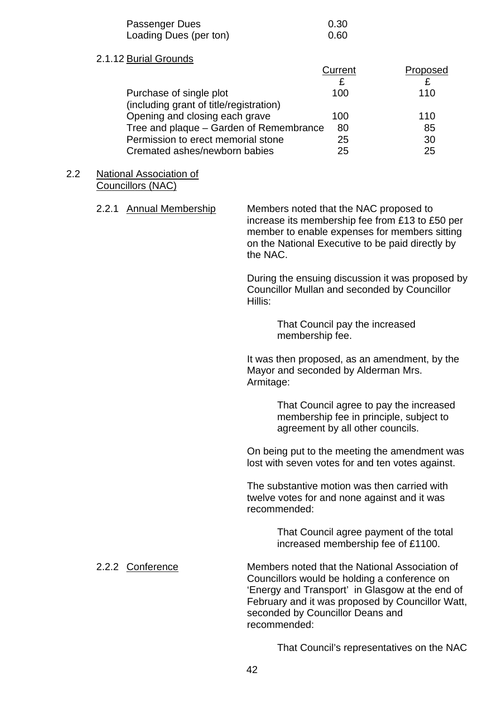| Passenger Dues         | 0.30 |
|------------------------|------|
| Loading Dues (per ton) | 0.60 |

#### 2.1.12 Burial Grounds

|                                         |                                         | Current | Proposed |
|-----------------------------------------|-----------------------------------------|---------|----------|
|                                         |                                         |         |          |
| Purchase of single plot                 |                                         | 100     | 110      |
| (including grant of title/registration) |                                         |         |          |
| Opening and closing each grave          |                                         | 100     | 110      |
|                                         | Tree and plaque – Garden of Remembrance | 80      | 85       |
|                                         | Permission to erect memorial stone      | 25      | 30       |
| Cremated ashes/newborn babies           |                                         | 25      | 25       |
|                                         |                                         |         |          |

#### 2.2 National Association of Councillors (NAC)

| 2.2.1 Annual Membership | Members noted that the NAC proposed to<br>increase its membership fee from £13 to £50 per<br>member to enable expenses for members sitting<br>on the National Executive to be paid directly by<br>the NAC. |
|-------------------------|------------------------------------------------------------------------------------------------------------------------------------------------------------------------------------------------------------|
|                         | During the ensuing discussion it was proposed by<br>Councillor Mullan and seconded by Councillor<br>Hillis:                                                                                                |
|                         | That Council pay the increased<br>membership fee.                                                                                                                                                          |
|                         | It was then proposed, as an amendment, by the<br>Mayor and seconded by Alderman Mrs.<br>Armitage:                                                                                                          |
|                         | That Council agree to pay the increased                                                                                                                                                                    |

 membership fee in principle, subject to agreement by all other councils.

On being put to the meeting the amendment was lost with seven votes for and ten votes against.

The substantive motion was then carried with twelve votes for and none against and it was recommended:

> That Council agree payment of the total increased membership fee of £1100.

 2.2.2 Conference Members noted that the National Association of Councillors would be holding a conference on 'Energy and Transport' in Glasgow at the end of February and it was proposed by Councillor Watt, seconded by Councillor Deans and recommended:

That Council's representatives on the NAC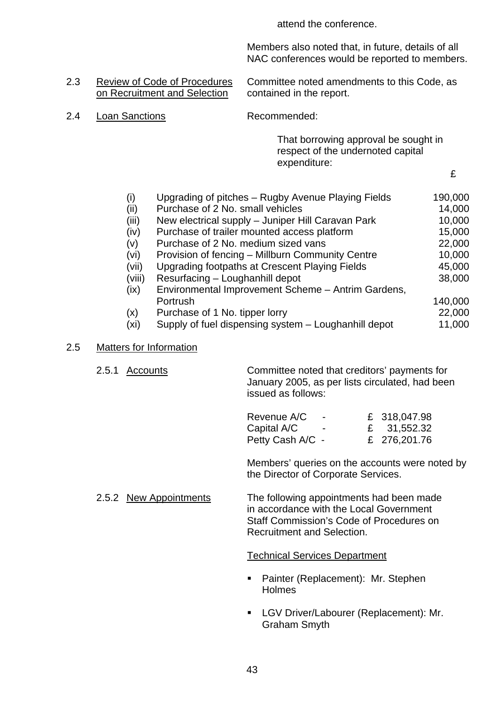attend the conference.

 Members also noted that, in future, details of all NAC conferences would be reported to members.

# on Recruitment and Selection contained in the report.

2.3 Review of Code of Procedures Committee noted amendments to this Code, as

2.4 Loan Sanctions Recommended:

That borrowing approval be sought in respect of the undernoted capital expenditure:

£

| (i)    | Upgrading of pitches - Rugby Avenue Playing Fields   | 190,000 |
|--------|------------------------------------------------------|---------|
| (ii)   | Purchase of 2 No. small vehicles                     | 14,000  |
| (iii)  | New electrical supply - Juniper Hill Caravan Park    | 10,000  |
| (iv)   | Purchase of trailer mounted access platform          | 15,000  |
| (v)    | Purchase of 2 No. medium sized vans                  | 22,000  |
| (vi)   | Provision of fencing – Millburn Community Centre     | 10,000  |
| (vii)  | Upgrading footpaths at Crescent Playing Fields       | 45,000  |
| (viii) | Resurfacing - Loughanhill depot                      | 38,000  |
| (ix)   | Environmental Improvement Scheme - Antrim Gardens,   |         |
|        | Portrush                                             | 140,000 |
| (x)    | Purchase of 1 No. tipper lorry                       | 22,000  |
| (xi    | Supply of fuel dispensing system – Loughanhill depot | 11,000  |

#### 2.5 Matters for Information

 2.5.1 Accounts Committee noted that creditors' payments for January 2005, as per lists circulated, had been issued as follows:

| Revenue A/C      | $\sim$ | £ 318,047.98 |
|------------------|--------|--------------|
| Capital A/C      |        | £ 31,552.32  |
| Petty Cash A/C - |        | £ 276,201.76 |

 Members' queries on the accounts were noted by the Director of Corporate Services.

2.5.2 New Appointments The following appointments had been made in accordance with the Local Government Staff Commission's Code of Procedures on Recruitment and Selection.

#### Technical Services Department

- **Painter (Replacement): Mr. Stephen Holmes**
- **LGV Driver/Labourer (Replacement): Mr.** Graham Smyth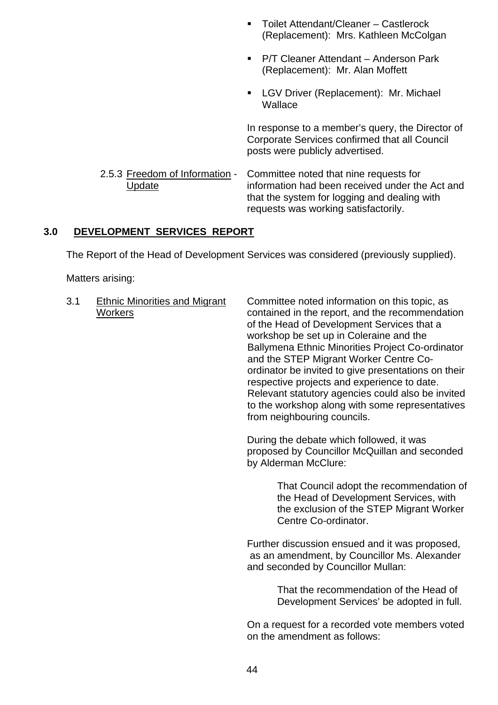- Toilet Attendant/Cleaner Castlerock (Replacement): Mrs. Kathleen McColgan
- P/T Cleaner Attendant Anderson Park (Replacement): Mr. Alan Moffett
- **LGV Driver (Replacement): Mr. Michael Wallace**

 In response to a member's query, the Director of Corporate Services confirmed that all Council posts were publicly advertised.

 2.5.3 Freedom of Information - Committee noted that nine requests for Update information had been received under the Act and that the system for logging and dealing with requests was working satisfactorily.

#### **3.0 DEVELOPMENT SERVICES REPORT**

The Report of the Head of Development Services was considered (previously supplied).

Matters arising:

3.1 Ethnic Minorities and Migrant Committee noted information on this topic, as Workers contained in the report, and the recommendation of the Head of Development Services that a workshop be set up in Coleraine and the Ballymena Ethnic Minorities Project Co-ordinator and the STEP Migrant Worker Centre Coordinator be invited to give presentations on their respective projects and experience to date. Relevant statutory agencies could also be invited to the workshop along with some representatives from neighbouring councils.

> During the debate which followed, it was proposed by Councillor McQuillan and seconded by Alderman McClure:

> > That Council adopt the recommendation of the Head of Development Services, with the exclusion of the STEP Migrant Worker Centre Co-ordinator.

 Further discussion ensued and it was proposed, as an amendment, by Councillor Ms. Alexander and seconded by Councillor Mullan:

> That the recommendation of the Head of Development Services' be adopted in full.

 On a request for a recorded vote members voted on the amendment as follows: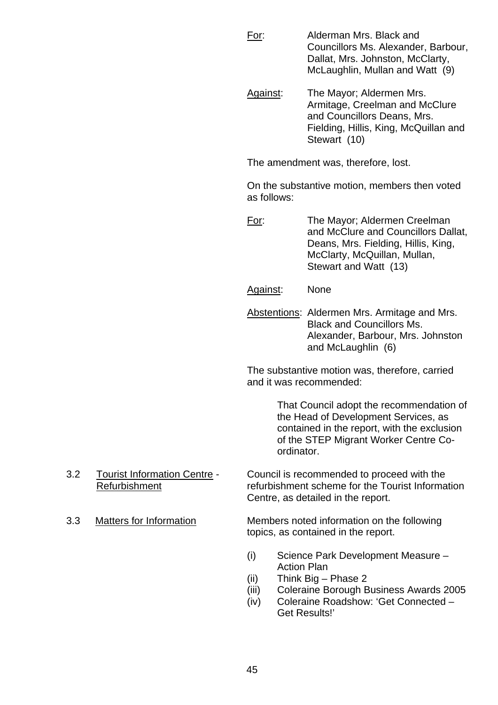- For: Alderman Mrs. Black and Councillors Ms. Alexander, Barbour, Dallat, Mrs. Johnston, McClarty, McLaughlin, Mullan and Watt (9)
- Against: The Mayor; Aldermen Mrs. Armitage, Creelman and McClure and Councillors Deans, Mrs. Fielding, Hillis, King, McQuillan and Stewart (10)

The amendment was, therefore, lost.

 On the substantive motion, members then voted as follows:

 For: The Mayor; Aldermen Creelman and McClure and Councillors Dallat, Deans, Mrs. Fielding, Hillis, King, McClarty, McQuillan, Mullan, Stewart and Watt (13)

- Against: None
- Abstentions: Aldermen Mrs. Armitage and Mrs. Black and Councillors Ms. Alexander, Barbour, Mrs. Johnston and McLaughlin (6)

 The substantive motion was, therefore, carried and it was recommended:

> That Council adopt the recommendation of the Head of Development Services, as contained in the report, with the exclusion of the STEP Migrant Worker Centre Co ordinator.

- 3.2 Tourist Information Centre Council is recommended to proceed with the Refurbishment refurbishment scheme for the Tourist Information Centre, as detailed in the report.
- 

3.3 Matters for Information Members noted information on the following topics, as contained in the report.

- (i) Science Park Development Measure Action Plan
- (ii) Think Big Phase 2
- (iii) Coleraine Borough Business Awards 2005
- (iv) Coleraine Roadshow: 'Get Connected Get Results!'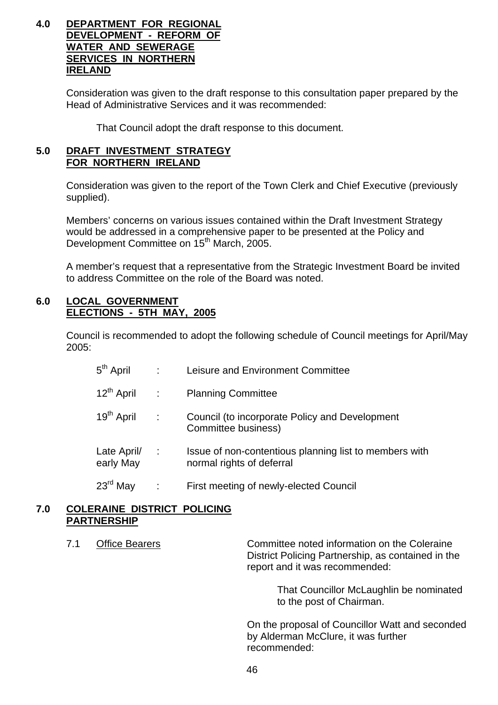#### **4.0 DEPARTMENT FOR REGIONAL DEVELOPMENT - REFORM OF WATER AND SEWERAGE SERVICES IN NORTHERN IRELAND**

 Consideration was given to the draft response to this consultation paper prepared by the Head of Administrative Services and it was recommended:

That Council adopt the draft response to this document.

#### **5.0 DRAFT INVESTMENT STRATEGY FOR NORTHERN IRELAND**

Consideration was given to the report of the Town Clerk and Chief Executive (previously supplied).

 Members' concerns on various issues contained within the Draft Investment Strategy would be addressed in a comprehensive paper to be presented at the Policy and Development Committee on 15<sup>th</sup> March, 2005.

 A member's request that a representative from the Strategic Investment Board be invited to address Committee on the role of the Board was noted.

#### **6.0 LOCAL GOVERNMENT ELECTIONS - 5TH MAY, 2005**

 Council is recommended to adopt the following schedule of Council meetings for April/May 2005:

| $5th$ April              | $\sim$     | Leisure and Environment Committee                                                   |
|--------------------------|------------|-------------------------------------------------------------------------------------|
| 12 <sup>th</sup> April   | $\sim 10$  | <b>Planning Committee</b>                                                           |
| 19 <sup>th</sup> April   | $\sim 100$ | Council (to incorporate Policy and Development<br>Committee business)               |
| Late April/<br>early May | $\sim 100$ | Issue of non-contentious planning list to members with<br>normal rights of deferral |
| $23rd$ May               |            | First meeting of newly-elected Council                                              |

#### **7.0 COLERAINE DISTRICT POLICING PARTNERSHIP**

7.1 Office Bearers Committee noted information on the Coleraine District Policing Partnership, as contained in the report and it was recommended:

> That Councillor McLaughlin be nominated to the post of Chairman.

 On the proposal of Councillor Watt and seconded by Alderman McClure, it was further recommended: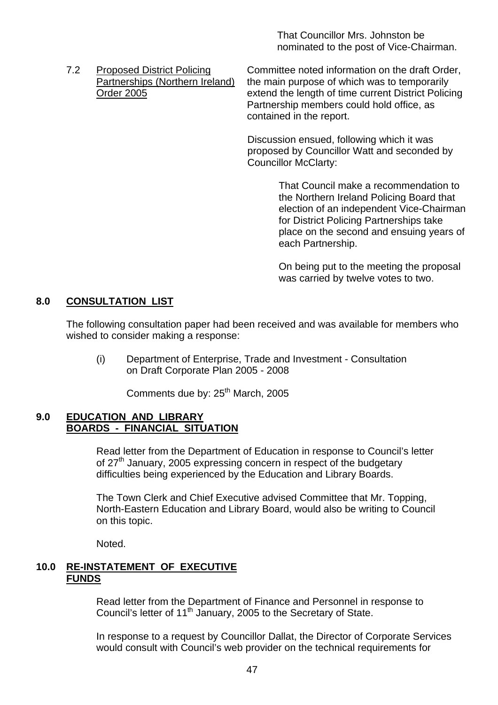That Councillor Mrs. Johnston be nominated to the post of Vice-Chairman.

 7.2 Proposed District Policing Committee noted information on the draft Order, Partnerships (Northern Ireland) the main purpose of which was to temporarily Order 2005 extend the length of time current District Policing Partnership members could hold office, as contained in the report.

> Discussion ensued, following which it was proposed by Councillor Watt and seconded by Councillor McClarty:

> > That Council make a recommendation to the Northern Ireland Policing Board that election of an independent Vice-Chairman for District Policing Partnerships take place on the second and ensuing years of each Partnership.

On being put to the meeting the proposal was carried by twelve votes to two.

#### **8.0 CONSULTATION LIST**

The following consultation paper had been received and was available for members who wished to consider making a response:

 (i) Department of Enterprise, Trade and Investment - Consultation on Draft Corporate Plan 2005 - 2008

Comments due by: 25<sup>th</sup> March, 2005

#### **9.0 EDUCATION AND LIBRARY BOARDS - FINANCIAL SITUATION**

 Read letter from the Department of Education in response to Council's letter of 27<sup>th</sup> January, 2005 expressing concern in respect of the budgetary difficulties being experienced by the Education and Library Boards.

 The Town Clerk and Chief Executive advised Committee that Mr. Topping, North-Eastern Education and Library Board, would also be writing to Council on this topic.

Noted.

#### **10.0 RE-INSTATEMENT OF EXECUTIVE FUNDS**

 Read letter from the Department of Finance and Personnel in response to Council's letter of 11<sup>th</sup> January, 2005 to the Secretary of State.

 In response to a request by Councillor Dallat, the Director of Corporate Services would consult with Council's web provider on the technical requirements for